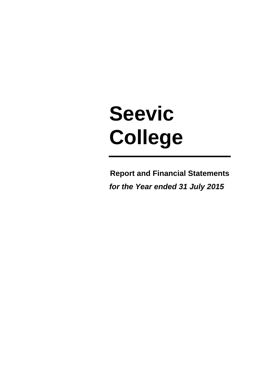# **Seevic College**

**Report and Financial Statements**  *for the Year ended 31 July 2015*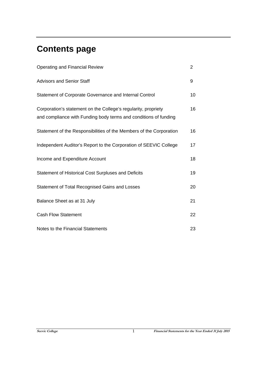# **Contents page**

| Operating and Financial Review                                                                                                     | $\overline{2}$ |
|------------------------------------------------------------------------------------------------------------------------------------|----------------|
| <b>Advisors and Senior Staff</b>                                                                                                   | 9              |
| Statement of Corporate Governance and Internal Control                                                                             | 10             |
| Corporation's statement on the College's regularity, propriety<br>and compliance with Funding body terms and conditions of funding | 16             |
| Statement of the Responsibilities of the Members of the Corporation                                                                | 16             |
| Independent Auditor's Report to the Corporation of SEEVIC College                                                                  | 17             |
| Income and Expenditure Account                                                                                                     | 18             |
| <b>Statement of Historical Cost Surpluses and Deficits</b>                                                                         | 19             |
| Statement of Total Recognised Gains and Losses                                                                                     | 20             |
| Balance Sheet as at 31 July                                                                                                        | 21             |
| <b>Cash Flow Statement</b>                                                                                                         | 22             |
| Notes to the Financial Statements                                                                                                  | 23             |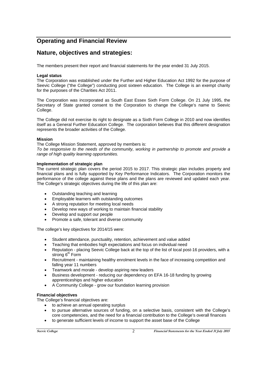# **Operating and Financial Review**

# **Nature, objectives and strategies:**

The members present their report and financial statements for the year ended 31 July 2015.

## **Legal status**

The Corporation was established under the Further and Higher Education Act 1992 for the purpose of Seevic College ("the College") conducting post sixteen education. The College is an exempt charity for the purposes of the Charities Act 2011.

The Corporation was incorporated as South East Essex Sixth Form College. On 21 July 1995, the Secretary of State granted consent to the Corporation to change the College's name to Seevic College.

The College did not exercise its right to designate as a Sixth Form College in 2010 and now identifies itself as a General Further Education College. The corporation believes that this different designation represents the broader activities of the College.

## **Mission**

The College Mission Statement, approved by members is:

*To be responsive to the needs of the community, working in partnership to promote and provide a range of high quality learning opportunities.*

## **Implementation of strategic plan**

The current strategic plan covers the period 2015 to 2017. This strategic plan includes property and financial plans and is fully supported by Key Performance Indicators. The Corporation monitors the performance of the college against these plans and the plans are reviewed and updated each year. The College's strategic objectives during the life of this plan are:

- Outstanding teaching and learning
- Employable learners with outstanding outcomes
- A strong reputation for meeting local needs
- Develop new ways of working to maintain financial stability
- Develop and support our people
- Promote a safe, tolerant and diverse community

The college's key objectives for 2014/15 were:

- Student attendance, punctuality, retention, achievement and value added
- Teaching that embodies high expectations and focus on individual need
- Reputation placing Seevic College back at the top of the list of local post-16 providers, with a strong 6<sup>th</sup> Form
- Recruitment maintaining healthy enrolment levels in the face of increasing competition and falling year 11 numbers
- Teamwork and morale develop aspiring new leaders
- Business development reducing our dependency on EFA 16-18 funding by growing apprenticeships and higher education
- A Community College grow our foundation learning provision

## **Financial objectives**

The College's financial objectives are:

- to achieve an annual operating surplus
- to pursue alternative sources of funding, on a selective basis, consistent with the College's core competencies, and the need for a financial contribution to the College's overall finances
- to generate sufficient levels of income to support the asset base of the College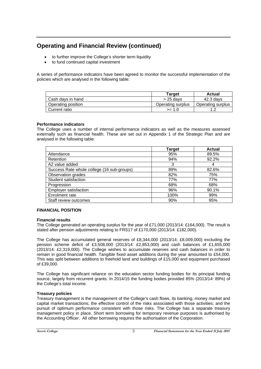- to further improve the College's shorter term liquidity
- to fund continued capital investment

A series of performance indicators have been agreed to monitor the successful implementation of the policies which are analysed in the following table:

|                    | Tarɑet            | Actual            |
|--------------------|-------------------|-------------------|
| Cash days in hand  | $>$ 25 davs       | 42.3 davs         |
| Operating position | Operating surplus | Operating surplus |
| Current ratio      | >= 1.0            |                   |

## **Performance indicators**

The College uses a number of internal performance indicators as well as the measures assessed externally such as financial health. These are set out in Appendix 1 of the Strategic Plan and are analysed in the following table:

|                                            | Target | <b>Actual</b> |
|--------------------------------------------|--------|---------------|
| Attendance                                 | 95%    | 89.5%         |
| <b>Retention</b>                           | 94%    | 92.2%         |
| A2 value added                             | 3      | 4             |
| Success Rate whole college (16 sub-groups) | 89%    | 82.6%         |
| Observation grades                         | 82%    | 75%           |
| Student satisfaction                       | 77%    | 77%           |
| Progression                                | 68%    | 68%           |
| <b>Employer satisfaction</b>               | 96%    | 90.1%         |
| Enrolment rate                             | 100%   | 99%           |
| Staff review outcomes                      | 90%    | 95%           |

## **FINANCIAL POSITION**

## **Financial results**

The College generated an operating surplus for the year of £71,000 (2013/14: £164,000). The result is stated after pension adjustments relating to FRS17 of £170,000 (2013/14: £182,000).

The College has accumulated general reserves of £8,344,000 (2013/14: £8,009,000) excluding the pension scheme deficit of £3,508,000 (2013/14: £2,853,000) and cash balances of £1,655,000 (2013/14: £2,319,000). The College wishes to accumulate reserves and cash balances in order to remain in good financial health. Tangible fixed asset additions during the year amounted to £54,000. This was split between additions to freehold land and buildings of £15,000 and equipment purchased of £39,000.

The College has significant reliance on the education sector funding bodies for its principal funding source, largely from recurrent grants. In 2014/15 the funding bodies provided 85% (2013/14: 89%) of the College's total income.

## **Treasury policies**

Treasury management is the management of the College's cash flows, its banking, money market and capital market transactions; the effective control of the risks associated with those activities; and the pursuit of optimum performance consistent with those risks. The College has a separate treasury management policy in place. Short term borrowing for temporary revenue purposes is authorised by the Accounting Officer. All other borrowing requires the authorisation of the Corporation.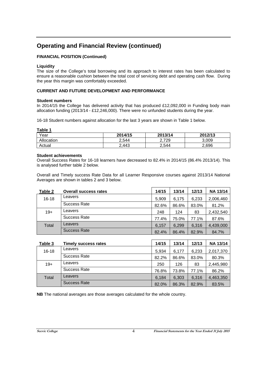## **FINANCIAL POSITION (Continued)**

## **Liquidity**

The size of the College's total borrowing and its approach to interest rates has been calculated to ensure a reasonable cushion between the total cost of servicing debt and operating cash flow. During the year this margin was comfortably exceeded.

## **CURRENT AND FUTURE DEVELOPMENT AND PERFORMANCE**

#### **Student numbers**

In 2014/15 the College has delivered activity that has produced £12,092,000 in Funding body main allocation funding (2013/14 - £12,246,000). There were no unfunded students during the year.

16-18 Student numbers against allocation for the last 3 years are shown in Table 1 below.

**Table 1**

| Year       | 2014/15 | 2013/14  | 2012/13 |
|------------|---------|----------|---------|
| Allocation | 2.544   | 729<br>ົ | 3.009   |
| Actual     | 2.443   | 2,544    | 2,696   |

#### **Student achievements**

Overall Success Rates for 16-18 learners have decreased to 82.4% in 2014/15 (86.4% 2013/14). This is analysed further table 2 below.

Overall and Timely success Rate Data for all Learner Responsive courses against 2013/14 National Averages are shown in tables 2 and 3 below.

| Table 2   | <b>Overall success rates</b> | 14/15 | 13/14 | 12/13 | <b>NA 13/14</b> |
|-----------|------------------------------|-------|-------|-------|-----------------|
| $16 - 18$ | Leavers                      | 5,909 | 6.175 | 6,233 | 2,006,460       |
|           | Success Rate                 | 82.6% | 86.6% | 83.0% | 81.2%           |
| $19+$     | Leavers                      | 248   | 124   | 83    | 2,432,540       |
|           | Success Rate                 | 77.4% | 75.0% | 77.1% | 87.6%           |
| Total     | Leavers                      | 6.157 | 6.299 | 6.316 | 4,439,000       |
|           | <b>Success Rate</b>          | 82.4% | 86.4% | 82.9% | 84.7%           |

| Table 3   | Timely success rates | 14/15 | 13/14 | 12/13 | <b>NA 13/14</b> |
|-----------|----------------------|-------|-------|-------|-----------------|
| $16 - 18$ | Leavers              | 5.934 | 6.177 | 6.233 | 2,017,370       |
|           | Success Rate         | 82.2% | 86.6% | 83.0% | 80.3%           |
| $19+$     | Leavers              | 250   | 126   | 83    | 2,445,980       |
|           | Success Rate         | 76.8% | 73.8% | 77.1% | 86.2%           |
| Total     | Leavers              | 6.184 | 6.303 | 6,316 | 4,463,350       |
|           | Success Rate         | 82.0% | 86.3% | 82.9% | 83.5%           |

**NB** The national averages are those averages calculated for the whole country.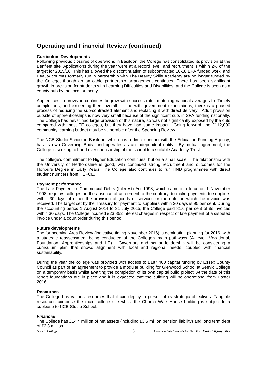#### **Curriculum Developments**

Following previous closures of operations in Basildon, the College has consolidated its provision at the Benfleet site. Applications during the year were at a record level, and recruitment is within 2% of the target for 2015/16. This has allowed the discontinuation of subcontracted 16-18 EFA funded work, and Beauty courses formerly run in partnership with The Beauty Skills Academy are no longer funded by the College, though an amicable partnership arrangement continues. There has been significant growth in provision for students with Learning Difficulties and Disabilities, and the College is seen as a county hub by the local authority.

Apprenticeship provision continues to grow with success rates matching national averages for Timely completions, and exceeding them overall. In line with government expectations, there is a phased process of reducing the sub-contracted element and replacing it with direct delivery. Adult provision outside of apprenticeships is now very small because of the significant cuts in SFA funding nationally. The College has never had large provision of this nature, so was not significantly exposed by the cuts compared with most FE colleges, but they have had some impact. Going forward, the £112,000 community learning budget may be vulnerable after the Spending Review.

The NCB Studio School in Basildon, which has a direct contract with the Education Funding Agency, has its own Governing Body, and operates as an independent entity. By mutual agreement, the College is seeking to hand over sponsorship of the school to a suitable Academy Trust.

The college's commitment to Higher Education continues, but on a small scale. The relationship with the University of Hertfordshire is good, with continued strong recruitment and outcomes for the Honours Degree in Early Years. The College also continues to run HND programmes with direct student numbers from HEFCE.

#### **Payment performance**

The Late Payment of Commercial Debts (Interest) Act 1998, which came into force on 1 November 1998, requires colleges, in the absence of agreement to the contrary, to make payments to suppliers within 30 days of either the provision of goods or services or the date on which the invoice was received. The target set by the Treasury for payment to suppliers within 30 days is 95 per cent. During the accounting period 1 August 2014 to 31 July 2015, the College paid 81.0 per cent of its invoices within 30 days. The College incurred £23,852 interest charges in respect of late payment of a disputed invoice under a court order during this period.

#### **Future developments**

The forthcoming Area Review (indicative timing November 2016) is dominating planning for 2016, with a strategic reassessment being conducted of the College's main pathways (A-Level, Vocational, Foundation, Apprenticeships and HE). Governors and senior leadership will be considering a curriculum plan that shows alignment with local and regional needs, coupled with financial sustainability.

During the year the college was provided with access to £187,400 capital funding by Essex County Council as part of an agreement to provide a modular building for Glenwood School at Seevic College on a temporary basis whilst awaiting the completion of its own capital build project. At the date of this report foundations are in place and it is expected that the building will be operational from Easter 2016.

## **Resources**

The College has various resources that it can deploy in pursuit of its strategic objectives. Tangible resources comprise the main college site whilst the Church Walk House building is subject to a sublease to NCB Studio School.

## *Financial*

The College has £14.4 million of net assets (including £3.5 million pension liability) and long term debt of £2.3 million.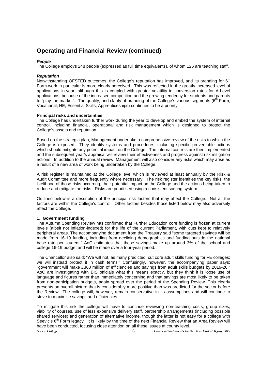## *People*

The College employs 248 people (expressed as full time equivalents), of whom 126 are teaching staff.

#### *Reputation*

Notwithstanding OFSTED outcomes, the College's reputation has improved, and its branding for  $6<sup>th</sup>$ Form work in particular is more clearly perceived. This was reflected in the greatly increased level of applications in-year, although this is coupled with greater volatility in conversion rates for A-Level applications, because of the increased competition and the growing tendency for students and parents to "play the market". The quality, and clarity of branding of the College's various segments ( $6<sup>th</sup>$  Form, Vocational, HE, Essential Skills, Apprenticeships) continues to be a priority.

#### **Principal risks and uncertainties**

The College has undertaken further work during the year to develop and embed the system of internal control, including financial, operational and risk management which is designed to protect the College's assets and reputation.

Based on the strategic plan, Management undertake a comprehensive review of the risks to which the College is exposed. They identify systems and procedures, including specific preventable actions which should mitigate any potential impact on the College. The internal controls are then implemented and the subsequent year's appraisal will review their effectiveness and progress against risk mitigation actions. In addition to the annual review, Management will also consider any risks which may arise as a result of a new area of work being undertaken by the College.

A risk register is maintained at the College level which is reviewed at least annually by the Risk & Audit Committee and more frequently where necessary. The risk register identifies the key risks, the likelihood of those risks occurring, their potential impact on the College and the actions being taken to reduce and mitigate the risks. Risks are prioritised using a consistent scoring system.

Outlined below is a description of the principal risk factors that may affect the College. Not all the factors are within the College's control. Other factors besides those listed below may also adversely affect the College.

## **1. Government funding**

The Autumn Spending Review has confirmed that Further Education core funding is frozen at current levels (albeit not inflation-indexed) for the life of the current Parliament, with cuts kept to relatively peripheral areas. The accompanying document from the Treasury said "some targeted savings will be made from 16-19 funding, including from declining demographics and funding outside the national base rate per student." AoC estimates that these savings make up around 3% of the school and college 16-19 budget and will be made over a four-year period.

The Chancellor also said: "We will not, as many predicted, cut core adult skills funding for FE colleges; we will instead protect it in cash terms." Confusingly, however, the accompanying paper says: "government will make £360 million of efficiencies and savings from adult skills budgets by 2019-20." AoC are investigating with BIS officials what this means exactly, but they think it is loose use of language and figures rather than immediately concerning and that savings are most likely to be taken from non-participation budgets, again spread over the period of the Spending Review. This clearly presents an overall picture that is considerably more positive than was predicted for the sector before the Review. The college will, however, remain conservative in its assumptions and will continue to strive to maximise savings and efficiencies

To mitigate this risk the college will have to continue reviewing non-teaching costs, group sizes, viability of courses, use of less expensive delivery staff, partnership arrangements (including possible shared services) and generation of alternative income, though the latter is not easy for a college with Seevic's  $6<sup>th</sup>$  Form legacy. It is likely by the time of the next Financial Review that an Area Review will have been conducted, focusing close attention on all these issues at county level.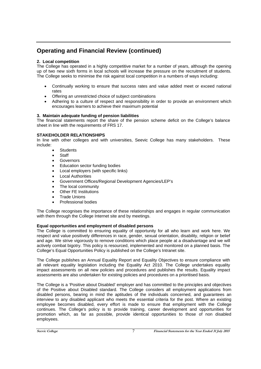## **2. Local competition**

The College has operated in a highly competitive market for a number of years, although the opening up of two new sixth forms in local schools will increase the pressure on the recruitment of students. The College seeks to minimise the risk against local competition in a numbers of ways including:

- Continually working to ensure that success rates and value added meet or exceed national rates
- Offering an unrestricted choice of subject combinations
- Adhering to a culture of respect and responsibility in order to provide an environment which encourages learners to achieve their maximum potential

## **3. Maintain adequate funding of pension liabilities**

The financial statements report the share of the pension scheme deficit on the College's balance sheet in line with the requirements of FRS 17.

## **STAKEHOLDER RELATIONSHIPS**

In line with other colleges and with universities, Seevic College has many stakeholders. These include:

- **Students**
- **Staff**
- Governors
- Education sector funding bodies
- Local employers (with specific links)
- Local Authorities
- Government Offices/Regional Development Agencies/LEP's
- The local community
- Other FE Institutions
- Trade Unions
- Professional bodies

The College recognises the importance of these relationships and engages in regular communication with them through the College Internet site and by meetings.

## **Equal opportunities and employment of disabled persons**

The College is committed to ensuring equality of opportunity for all who learn and work here. We respect and value positively differences in race, gender, sexual orientation, disability, religion or belief and age. We strive vigorously to remove conditions which place people at a disadvantage and we will actively combat bigotry. This policy is resourced, implemented and monitored on a planned basis. The College's Equal Opportunities Policy is published on the College's Intranet site.

The College publishes an Annual Equality Report and Equality Objectives to ensure compliance with all relevant equality legislation including the Equality Act 2010. The College undertakes equality impact assessments on all new policies and procedures and publishes the results. Equality impact assessments are also undertaken for existing policies and procedures on a prioritised basis.

The College is a 'Positive about Disabled' employer and has committed to the principles and objectives of the Positive about Disabled standard. The College considers all employment applications from disabled persons, bearing in mind the aptitudes of the individuals concerned, and guarantees an interview to any disabled applicant who meets the essential criteria for the post. Where an existing employee becomes disabled, every effort is made to ensure that employment with the College continues. The College's policy is to provide training, career development and opportunities for promotion which, as far as possible, provide identical opportunities to those of non disabled employees.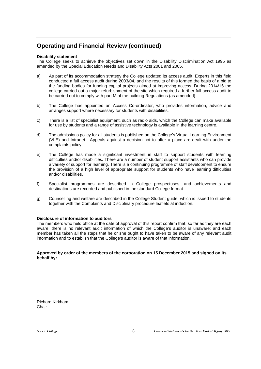## **Disability statement**

The College seeks to achieve the objectives set down in the Disability Discrimination Act 1995 as amended by the Special Education Needs and Disability Acts 2001 and 2005.

- a) As part of its accommodation strategy the College updated its access audit. Experts in this field conducted a full access audit during 2003/04, and the results of this formed the basis of a bid to the funding bodies for funding capital projects aimed at improving access. During 2014/15 the college carried out a major refurbishment of the site which required a further full access audit to be carried out to comply with part M of the building Regulations (as amended).
- b) The College has appointed an Access Co-ordinator, who provides information, advice and arranges support where necessary for students with disabilities.
- c) There is a list of specialist equipment, such as radio aids, which the College can make available for use by students and a range of assistive technology is available in the learning centre.
- d) The admissions policy for all students is published on the College's Virtual Learning Environment (VLE) and Intranet. Appeals against a decision not to offer a place are dealt with under the complaints policy.
- e) The College has made a significant investment in staff to support students with learning difficulties and/or disabilities. There are a number of student support assistants who can provide a variety of support for learning. There is a continuing programme of staff development to ensure the provision of a high level of appropriate support for students who have learning difficulties and/or disabilities.
- f) Specialist programmes are described in College prospectuses, and achievements and destinations are recorded and published in the standard College format
- g) Counselling and welfare are described in the College Student guide, which is issued to students together with the Complaints and Disciplinary procedure leaflets at induction.

## **Disclosure of information to auditors**

The members who held office at the date of approval of this report confirm that, so far as they are each aware, there is no relevant audit information of which the College's auditor is unaware; and each member has taken all the steps that he or she ought to have taken to be aware of any relevant audit information and to establish that the College's auditor is aware of that information.

#### **Approved by order of the members of the corporation on 15 December 2015 and signed on its behalf by:**

Richard Kirkham Chair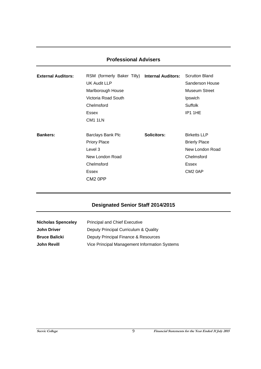| <b>External Auditors:</b> | RSM (formerly Baker Tilly) Internal Auditors: Scrutton Bland<br>UK Audit LLP<br>Marlborough House<br>Victoria Road South<br>Chelmsford<br>Essex<br>CM1 1LN |             | Sanderson House<br>Museum Street<br>Ipswich<br><b>Suffolk</b><br>IP1 1HE                                     |
|---------------------------|------------------------------------------------------------------------------------------------------------------------------------------------------------|-------------|--------------------------------------------------------------------------------------------------------------|
| <b>Bankers:</b>           | Barclays Bank Plc<br><b>Priory Place</b><br>Level 3<br>New London Road<br>Chelmsford<br>Essex<br>CM2 0PP                                                   | Solicitors: | <b>Birketts LLP</b><br><b>Brierly Place</b><br>New London Road<br>Chelmsford<br>Essex<br>CM <sub>2</sub> 0AP |

## **Professional Advisers**

# **Designated Senior Staff 2014/2015**

| <b>Nicholas Spenceley</b> | <b>Principal and Chief Executive</b>          |
|---------------------------|-----------------------------------------------|
| <b>John Driver</b>        | Deputy Principal Curriculum & Quality         |
| <b>Bruce Balicki</b>      | Deputy Principal Finance & Resources          |
| <b>John Revill</b>        | Vice Principal Management Information Systems |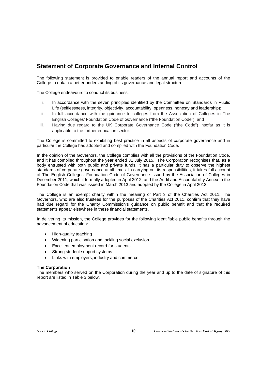# **Statement of Corporate Governance and Internal Control**

The following statement is provided to enable readers of the annual report and accounts of the College to obtain a better understanding of its governance and legal structure.

The College endeavours to conduct its business:

- i. In accordance with the seven principles identified by the Committee on Standards in Public Life (selflessness, integrity, objectivity, accountability, openness, honesty and leadership);
- ii. In full accordance with the guidance to colleges from the Association of Colleges in The English Colleges' Foundation Code of Governance ("the Foundation Code"); and
- iii. Having due regard to the UK Corporate Governance Code ("the Code") insofar as it is applicable to the further education sector.

The College is committed to exhibiting best practice in all aspects of corporate governance and in particular the College has adopted and complied with the Foundation Code.

In the opinion of the Governors, the College complies with all the provisions of the Foundation Code, and it has complied throughout the year ended 31 July 2015. The Corporation recognises that, as a body entrusted with both public and private funds, it has a particular duty to observe the highest standards of corporate governance at all times. In carrying out its responsibilities, it takes full account of The English Colleges' Foundation Code of Governance issued by the Association of Colleges in December 2011, which it formally adopted in April 2012, and the Audit and Accountability Annex to the Foundation Code that was issued in March 2013 and adopted by the College in April 2013.

The College is an exempt charity within the meaning of Part 3 of the Charities Act 2011. The Governors, who are also trustees for the purposes of the Charities Act 2011, confirm that they have had due regard for the Charity Commission's guidance on public benefit and that the required statements appear elsewhere in these financial statements.

In delivering its mission, the College provides for the following identifiable public benefits through the advancement of education:

- High-quality teaching
- Widening participation and tackling social exclusion
- Excellent employment record for students
- Strong student support systems
- Links with employers, industry and commerce

## **The Corporation**

The members who served on the Corporation during the year and up to the date of signature of this report are listed in Table 3 below.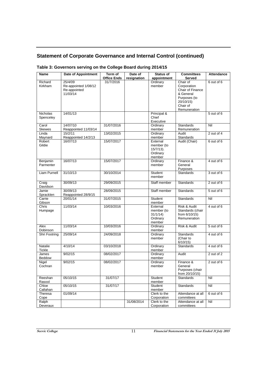## **Table 3: Governors serving on the College Board during 2014/15**

| <b>Name</b>                  | Date of Appointment                                         | Term of<br><b>Office Ends</b> | Date of<br>resignation | <b>Status of</b><br>appointment                              | <b>Committees</b><br>Served                                                                                       | <b>Attendance</b> |
|------------------------------|-------------------------------------------------------------|-------------------------------|------------------------|--------------------------------------------------------------|-------------------------------------------------------------------------------------------------------------------|-------------------|
| Richard<br>Kirkham           | 25/4/09<br>Re-appointed 1/08/12<br>Re-appointed<br>11/03/14 | 31/7/2016                     |                        | Ordinary<br>member                                           | Chair of<br>Corporation<br>Chair of Finance<br>& General<br>Purposes (to<br>20/10/15)<br>Chair of<br>Remuneration | 6 out of 6        |
| <b>Nicholas</b><br>Spenceley | 14/01/13                                                    |                               |                        | Principal &<br>Chief<br>Executive                            |                                                                                                                   | 5 out of 6        |
| Carol<br><b>Skewes</b>       | 14/07/10<br>Reappointed 11/03/14                            | 31/07/2016                    |                        | Ordinary<br>member                                           | <b>Standards</b><br>Remuneration                                                                                  | Nil               |
| Linda<br>Maynard             | 15/2/11<br>Reappointed 14/2/13                              | 13/02/2015                    |                        | Ordinary<br>member                                           | Audit<br>Standards                                                                                                | 2 out of 4        |
| Robert<br>Gildie             | 16/07/13                                                    | 15/07/2017                    |                        | External<br>member (to<br>$15/7/13$ ).<br>Ordinary<br>member | Audit (Chair)                                                                                                     | 6 out of 6        |
| Benjamin<br>Parmenter        | 16/07/13                                                    | 15/07/2017                    |                        | Ordinary<br>member                                           | Finance &<br>General<br>Purposes                                                                                  | 4 out of 6        |
| Liam Purnell                 | $31/10/\overline{13}$                                       | 30/10/2014                    |                        | <b>Student</b><br>member                                     | <b>Standards</b>                                                                                                  | 3 out of 6        |
| Craig<br>Davidson            | 30/09/13                                                    | 29/09/2015                    |                        | Staff member                                                 | Standards                                                                                                         | 2 out of 6        |
| Jamie<br>Spracklen           | 30/09/13<br>Reappointed 28/9/15                             | 28/09/2015                    |                        | Staff member                                                 | Standards                                                                                                         | 5 out of 6        |
| Carrie<br>Gibson             | 20/01/14                                                    | 31/07/2015                    |                        | Student<br>member                                            | Standards                                                                                                         | Nil               |
| Chris<br>Humpage             | 11/03/14                                                    | 10/03/2016                    |                        | External<br>member (to<br>31/1/14<br>Ordinary<br>member      | Risk & Audit<br>Standards (chair<br>from $6/10/15$ )<br>Remuneration                                              | 4 out of 6        |
| Alex<br>Dobinson             | 11/03/14                                                    | 10/03/2016                    |                        | Ordinary<br>member                                           | Risk & Audit                                                                                                      | 5 out of 6        |
| Shri Footring                | 25/09/14                                                    | 24/09/2018                    |                        | Ordinary<br>member                                           | Standards<br>(Chair to<br>6/10/15                                                                                 | 4 out of 6        |
| Natalie<br><b>Tickle</b>     | 4/10/14                                                     | 03/10/2018                    |                        | Ordinary<br>member                                           | <b>Standards</b>                                                                                                  | 4 out of 6        |
| James<br>Beddow              | 9/02/15                                                     | 08/02/2017                    |                        | Ordinary<br>member                                           | Audit                                                                                                             | 2 out of 2        |
| Nigel<br>Cochran             | 9/02/15                                                     | 08/02/2017                    |                        | Ordinary<br>member                                           | Finance &<br>General<br>Purposes (chair<br>from 20/10/15)                                                         | 2 out of 6        |
| Reeshan<br>Rasool            | 05/10/15                                                    | 31/07/17                      |                        | Student<br>member                                            | Standards                                                                                                         | Nil               |
| Chloe<br>Callahan            | 05/10/15                                                    | 31/07/17                      |                        | Student<br>member                                            | Standards                                                                                                         | Nil               |
| Theresa<br>Cope              | 01/09/14                                                    |                               |                        | Clerk to the<br>Corporation                                  | Attendance at all<br>committees                                                                                   | 6 out of 6        |
| Ralph<br>Deveraux            |                                                             |                               | 31/08/2014             | Clerk to the<br>Corporation                                  | Attendance at all<br>committees                                                                                   | Nil               |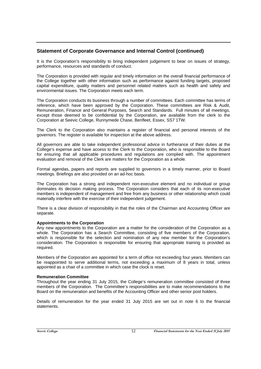It is the Corporation's responsibility to bring independent judgement to bear on issues of strategy, performance, resources and standards of conduct.

The Corporation is provided with regular and timely information on the overall financial performance of the College together with other information such as performance against funding targets, proposed capital expenditure, quality matters and personnel related matters such as health and safety and environmental issues. The Corporation meets each term.

The Corporation conducts its business through a number of committees. Each committee has terms of reference, which have been approved by the Corporation. These committees are Risk & Audit, Remuneration, Finance and General Purposes, Search and Standards. Full minutes of all meetings, except those deemed to be confidential by the Corporation, are available from the clerk to the Corporation at Seevic College, Runnymede Chase, Benfleet, Essex, SS7 1TW.

The Clerk to the Corporation also maintains a register of financial and personal interests of the governors. The register is available for inspection at the above address.

All governors are able to take independent professional advice in furtherance of their duties at the College's expense and have access to the Clerk to the Corporation, who is responsible to the Board for ensuring that all applicable procedures and regulations are complied with. The appointment evaluation and removal of the Clerk are matters for the Corporation as a whole.

Formal agendas, papers and reports are supplied to governors in a timely manner, prior to Board meetings. Briefings are also provided on an ad-hoc basis.

The Corporation has a strong and independent non-executive element and no individual or group dominates its decision making process. The Corporation considers that each of its non-executive members is independent of management and free from any business or other relationship which could materially interfere with the exercise of their independent judgement.

There is a clear division of responsibility in that the roles of the Chairman and Accounting Officer are separate.

#### **Appointments to the Corporation**

Any new appointments to the Corporation are a matter for the consideration of the Corporation as a whole. The Corporation has a Search Committee, consisting of five members of the Corporation, which is responsible for the selection and nomination of any new member for the Corporation's consideration. The Corporation is responsible for ensuring that appropriate training is provided as required.

Members of the Corporation are appointed for a term of office not exceeding four years. Members can be reappointed to serve additional terms, not exceeding a maximum of 8 years in total, unless appointed as a chair of a committee in which case the clock is reset.

#### **Remuneration Committee**

Throughout the year ending 31 July 2015, the College's remuneration committee consisted of three members of the Corporation. The Committee's responsibilities are to make recommendations to the Board on the remuneration and benefits of the Accounting Officer and other senior post holders.

Details of remuneration for the year ended 31 July 2015 are set out in note 6 to the financial statements.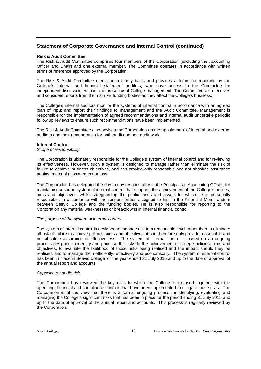#### **Risk & Audit Committee**

The Risk & Audit Committee comprises four members of the Corporation (excluding the Accounting Officer and Chair) and one external member. The Committee operates in accordance with written terms of reference approved by the Corporation.

The Risk & Audit Committee meets on a termly basis and provides a forum for reporting by the College's internal and financial statement auditors, who have access to the Committee for independent discussion, without the presence of College management. The Committee also receives and considers reports from the main FE funding bodies as they affect the College's business.

The College's internal auditors monitor the systems of internal control in accordance with an agreed plan of input and report their findings to management and the Audit Committee. Management is responsible for the implementation of agreed recommendations and internal audit undertake periodic follow up reviews to ensure such recommendations have been implemented.

The Risk & Audit Committee also advises the Corporation on the appointment of internal and external auditors and their remuneration for both audit and non-audit work.

#### **Internal Control**

#### *Scope of responsibility*

The Corporation is ultimately responsible for the College's system of internal control and for reviewing its effectiveness. However, such a system is designed to manage rather than eliminate the risk of failure to achieve business objectives, and can provide only reasonable and not absolute assurance against material misstatement or loss.

The Corporation has delegated the day to day responsibility to the Principal, as Accounting Officer, for maintaining a sound system of internal control that supports the achievement of the College's polices, aims and objectives, whilst safeguarding the public funds and assets for which he is personally responsible, in accordance with the responsibilities assigned to him in the Financial Memorandum between Seevic College and the funding bodies. He is also responsible for reporting to the Corporation any material weaknesses or breakdowns in internal financial control.

## *The purpose of the system of internal control*

The system of internal control is designed to manage risk to a reasonable level rather than to eliminate all risk of failure to achieve policies, aims and objectives; it can therefore only provide reasonable and not absolute assurance of effectiveness. The system of internal control is based on an ongoing process designed to identify and prioritise the risks to the achievement of college policies, aims and objectives, to evaluate the likelihood of those risks being realised and the impact should they be realised, and to manage them efficiently, effectively and economically. The system of internal control has been in place in Seevic College for the year ended 31 July 2015 and up to the date of approval of the annual report and accounts.

#### *Capacity to handle risk*

The Corporation has reviewed the key risks to which the College is exposed together with the operating, financial and compliance controls that have been implemented to mitigate those risks. The Corporation is of the view that there is a formal ongoing process for identifying, evaluating and managing the College's significant risks that has been in place for the period ending 31 July 2015 and up to the date of approval of the annual report and accounts. This process is regularly reviewed by the Corporation.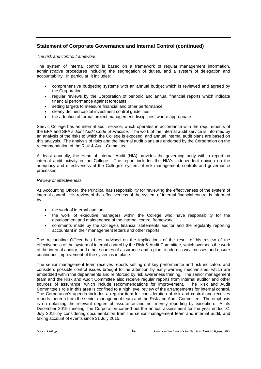*The risk and control framework* 

The system of internal control is based on a framework of regular management information, administrative procedures including the segregation of duties, and a system of delegation and accountability. In particular, it includes:

- comprehensive budgeting systems with an annual budget which is reviewed and agreed by the Corporation
- regular reviews by the Corporation of periodic and annual financial reports which indicate financial performance against forecasts
- setting targets to measure financial and other performance
- clearly defined capital investment control guidelines
- the adoption of formal project management disciplines, where appropriate

Seevic College has an internal audit service, which operates in accordance with the requirements of the EFA and SFA's *Joint Audit Code of Practice.* The work of the internal audit service is informed by an analysis of the risks to which the College is exposed, and annual internal audit plans are based on this analysis. The analysis of risks and the internal audit plans are endorsed by the Corporation on the recommendation of the Risk & Audit Committee.

At least annually, the Head of Internal Audit (HIA) provides the governing body with a report on internal audit activity in the College. The report includes the HIA's independent opinion on the adequacy and effectiveness of the College's system of risk management, controls and governance processes.

#### *Review of effectiveness*

As Accounting Officer, the Principal has responsibility for reviewing the effectiveness of the system of internal control. His review of the effectiveness of the system of internal financial control is informed by:

- the work of internal auditors
- the work of executive managers within the College who have responsibility for the development and maintenance of the internal control framework
- comments made by the College's financial statements auditor and the regularity reporting accountant in their management letters and other reports

The Accounting Officer has been advised on the implications of the result of his review of the effectiveness of the system of internal control by the Risk & Audit Committee, which oversees the work of the internal auditor, and other sources of assurance and a plan to address weaknesses and ensure continuous improvement of the system is in place.

The senior management team receives reports setting out key performance and risk indicators and considers possible control issues brought to the attention by early warning mechanisms, which are embedded within the departments and reinforced by risk awareness training. The senior management team and the Risk and Audit Committee also receive regular reports from internal auditor and other sources of assurance, which include recommendations for improvement. The Risk and Audit Committee's role in this area is confined to a high level review of the arrangements for internal control. The Corporation's agenda includes a regular item for consideration of risk and control and receives reports thereon from the senior management team and the Risk and Audit Committee. The emphasis is on obtaining the relevant degree of assurance and not merely reporting by exception. At its December 2015 meeting, the Corporation carried out the annual assessment for the year ended 31 July 2015 by considering documentation from the senior management team and internal audit, and taking account of events since 31 July 2015.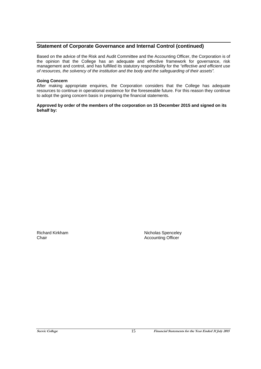Based on the advice of the Risk and Audit Committee and the Accounting Officer, the Corporation is of the opinion that the College has an adequate and effective framework for governance, risk management and control, and has fulfilled its statutory responsibility for the *"effective and efficient use of resources, the solvency of the institution and the body and the safeguarding of their assets".* 

#### **Going Concern**

After making appropriate enquiries, the Corporation considers that the College has adequate resources to continue in operational existence for the foreseeable future. For this reason they continue to adopt the going concern basis in preparing the financial statements.

#### **Approved by order of the members of the corporation on 15 December 2015 and signed on its behalf by:**

Richard Kirkham Nicholas Spenceley<br>
Chair Nicholas Spenceley<br>
Chair Nicholas Spenceley<br>
Accounting Officer Accounting Officer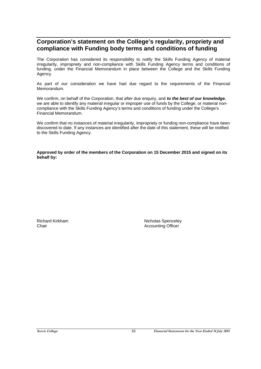## **Corporation's statement on the College's regularity, propriety and compliance with Funding body terms and conditions of funding**

The Corporation has considered its responsibility to notify the Skills Funding Agency of material irregularity, impropriety and non-compliance with Skills Funding Agency terms and conditions of funding, under the Financial Memorandum in place between the College and the Skills Funding Agency.

As part of our consideration we have had due regard to the requirements of the Financial Memorandum.

We confirm, on behalf of the Corporation, that after due enquiry, and *to the best of our knowledge*, we are able to identify any material irregular or improper use of funds by the College, or material noncompliance with the Skills Funding Agency's terms and conditions of funding under the College's Financial Memorandum.

We confirm that no instances of material irregularity, impropriety or funding non-compliance have been discovered to date. If any instances are identified after the date of this statement, these will be notified to the Skills Funding Agency.

**Approved by order of the members of the Corporation on 15 December 2015 and signed on its behalf by:** 

Richard Kirkham Nicholas Spenceley Chair **Chair Chair Chair Chair Chair Chair Chair Chair Chair Chair Chair Chair Chair Chair Chair Chair Chair Chair Chair Chair Chair Chair Chair Chair Chair Chair Chair**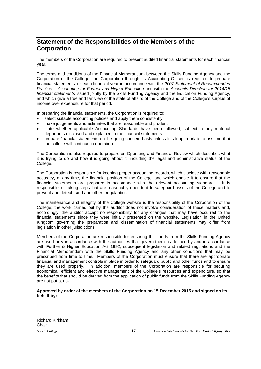# **Statement of the Responsibilities of the Members of the Corporation**

The members of the Corporation are required to present audited financial statements for each financial year.

The terms and conditions of the Financial Memorandum between the Skills Funding Agency and the Corporation of the College, the Corporation through its Accounting Officer, is required to prepare financial statements for each financial year in accordance with the *2007 Statement of Recommended Practice – Accounting for Further and Higher Education* and with the *Accounts Direction for 2014/15 financial statements* issued jointly by the Skills Funding Agency and the Education Funding Agency, and which give a true and fair view of the state of affairs of the College and of the College's surplus of income over expenditure for that period.

In preparing the financial statements, the Corporation is required to:

- select suitable accounting policies and apply them consistently
- make judgements and estimates that are reasonable and prudent
- state whether applicable Accounting Standards have been followed, subject to any material departures disclosed and explained in the financial statements
- prepare financial statements on the going concern basis unless it is inappropriate to assume that the college will continue in operation

The Corporation is also required to prepare an Operating and Financial Review which describes what it is trying to do and how it is going about it, including the legal and administrative status of the College.

The Corporation is responsible for keeping proper accounting records, which disclose with reasonable accuracy, at any time, the financial position of the College, and which enable it to ensure that the financial statements are prepared in accordance with the relevant accounting standards. It is responsible for taking steps that are reasonably open to it to safeguard assets of the College and to prevent and detect fraud and other irregularities.

The maintenance and integrity of the College website is the responsibility of the Corporation of the College; the work carried out by the auditor does not involve consideration of these matters and, accordingly, the auditor accept no responsibility for any changes that may have occurred to the financial statements since they were initially presented on the website. Legislation in the United Kingdom governing the preparation and dissemination of financial statements may differ from legislation in other jurisdictions.

Members of the Corporation are responsible for ensuring that funds from the Skills Funding Agency are used only in accordance with the authorities that govern them as defined by and in accordance with Further & Higher Education Act 1992, subsequent legislation and related regulations and the Financial Memorandum with the Skills Funding Agency and any other conditions that may be prescribed from time to time. Members of the Corporation must ensure that there are appropriate financial and management controls in place in order to safeguard public and other funds and to ensure they are used properly. In addition, members of the Corporation are responsible for securing economical, efficient and effective management of the College's resources and expenditure, so that the benefits that should be derived from the application of public funds from the Skills Funding Agency are not put at risk.

#### **Approved by order of the members of the Corporation on 15 December 2015 and signed on its behalf by:**

Richard Kirkham Chair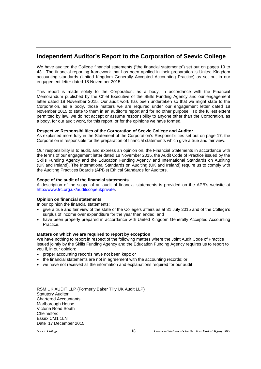## **Independent Auditor's Report to the Corporation of Seevic College**

We have audited the College financial statements ("the financial statements") set out on pages 19 to 43. The financial reporting framework that has been applied in their preparation is United Kingdom accounting standards (United Kingdom Generally Accepted Accounting Practice) as set out in our engagement letter dated 18 November 2015.

This report is made solely to the Corporation, as a body, in accordance with the Financial Memorandum published by the Chief Executive of the Skills Funding Agency and our engagement letter dated 18 November 2015. Our audit work has been undertaken so that we might state to the Corporation, as a body, those matters we are required under our engagement letter dated 18 November 2015 to state to them in an auditor's report and for no other purpose. To the fullest extent permitted by law, we do not accept or assume responsibility to anyone other than the Corporation, as a body, for our audit work, for this report, or for the opinions we have formed.

## **Respective Responsibilities of the Corporation of Seevic College and Auditor**

As explained more fully in the Statement of the Corporation's Responsibilities set out on page 17, the Corporation is responsible for the preparation of financial statements which give a true and fair view.

Our responsibility is to audit, and express an opinion on, the Financial Statements in accordance with the terms of our engagement letter dated 18 November 2015, the Audit Code of Practice issued by the Skills Funding Agency and the Education Funding Agency and International Standards on Auditing (UK and Ireland). The International Standards on Auditing (UK and Ireland) require us to comply with the Auditing Practices Board's (APB's) Ethical Standards for Auditors.

#### **Scope of the audit of the financial statements**

A description of the scope of an audit of financial statements is provided on the APB's website at http://www.frc.org.uk/auditscopeukprivate.

#### **Opinion on financial statements**

In our opinion the financial statements:

- give a true and fair view of the state of the College's affairs as at 31 July 2015 and of the College's surplus of income over expenditure for the year then ended; and
- have been properly prepared in accordance with United Kingdom Generally Accepted Accounting Practice.

#### **Matters on which we are required to report by exception**

We have nothing to report in respect of the following matters where the Joint Audit Code of Practice issued jointly by the Skills Funding Agency and the Education Funding Agency requires us to report to you if, in our opinion:

- proper accounting records have not been kept; or
- the financial statements are not in agreement with the accounting records; or
- we have not received all the information and explanations required for our audit

RSM UK AUDIT LLP (Formerly Baker Tilly UK Audit LLP) Statutory Auditor Chartered Accountants Marlborough House Victoria Road South Chelmsford Essex CM1 1LN Date 17 December 2015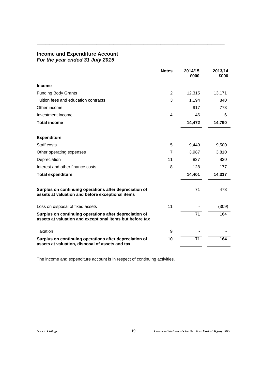## **Income and Expenditure Account** *For the year ended 31 July 2015*

|                                                                                                                    | <b>Notes</b> | 2014/15<br>£000 | 2013/14<br>£000 |
|--------------------------------------------------------------------------------------------------------------------|--------------|-----------------|-----------------|
| Income                                                                                                             |              |                 |                 |
| <b>Funding Body Grants</b>                                                                                         | 2            | 12,315          | 13,171          |
| Tuition fees and education contracts                                                                               | 3            | 1,194           | 840             |
| Other income                                                                                                       |              | 917             | 773             |
| Investment income                                                                                                  | 4            | 46              | 6               |
| <b>Total income</b>                                                                                                |              | 14,472          | 14,790          |
| <b>Expenditure</b>                                                                                                 |              |                 |                 |
| Staff costs                                                                                                        | 5            | 9,449           | 9,500           |
| Other operating expenses                                                                                           | 7            | 3,987           | 3,810           |
| Depreciation                                                                                                       | 11           | 837             | 830             |
| Interest and other finance costs                                                                                   | 8            | 128             | 177             |
| <b>Total expenditure</b>                                                                                           |              | 14,401          | 14,317          |
| Surplus on continuing operations after depreciation of<br>assets at valuation and before exceptional items         |              | 71              | 473             |
| Loss on disposal of fixed assets                                                                                   | 11           |                 | (309)           |
| Surplus on continuing operations after depreciation of<br>assets at valuation and exceptional items but before tax |              | $\overline{71}$ | 164             |
| Taxation                                                                                                           | 9            |                 |                 |
| Surplus on continuing operations after depreciation of<br>assets at valuation, disposal of assets and tax          | 10           | 71              | 164             |

**\_\_\_\_\_\_\_\_\_\_\_\_\_\_\_\_\_\_\_\_\_\_\_\_\_\_\_\_\_\_\_\_\_\_\_\_\_\_\_\_\_\_\_\_** 

The income and expenditure account is in respect of continuing activities.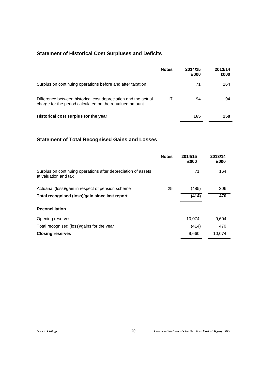# **Statement of Historical Cost Surpluses and Deficits**

|                                                                                                                            | <b>Notes</b> | 2014/15<br>£000 | 2013/14<br>£000 |
|----------------------------------------------------------------------------------------------------------------------------|--------------|-----------------|-----------------|
| Surplus on continuing operations before and after taxation                                                                 |              | 71              | 164             |
| Difference between historical cost depreciation and the actual<br>charge for the period calculated on the re-valued amount | 17           | 94              | 94              |
| Historical cost surplus for the year                                                                                       |              | 165             | 258             |

**\_\_\_\_\_\_\_\_\_\_\_\_\_\_\_\_\_\_\_\_\_\_\_\_\_\_\_\_\_\_\_\_\_\_\_\_\_\_\_\_\_\_\_\_\_** 

# **Statement of Total Recognised Gains and Losses**

|                                                                                       | <b>Notes</b> | 2014/15<br>£000 | 2013/14<br>£000 |
|---------------------------------------------------------------------------------------|--------------|-----------------|-----------------|
| Surplus on continuing operations after depreciation of assets<br>at valuation and tax |              | 71              | 164             |
| Actuarial (loss)/gain in respect of pension scheme                                    | 25           | (485)           | 306             |
| Total recognised (loss)/gain since last report                                        |              | (414)           | 470             |
| <b>Reconciliation</b>                                                                 |              |                 |                 |
| Opening reserves                                                                      |              | 10,074          | 9,604           |
| Total recognised (loss)/gains for the year                                            |              | (414)           | 470             |
| <b>Closing reserves</b>                                                               |              | 9,660           | 10,074          |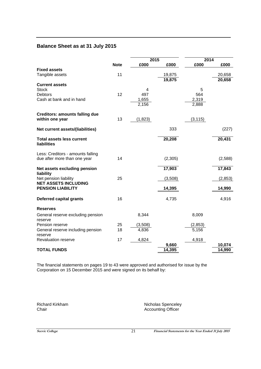## **Balance Sheet as at 31 July 2015**

|                                       |             | 2015     |         | 2014     |          |
|---------------------------------------|-------------|----------|---------|----------|----------|
|                                       | <b>Note</b> | £000     | £000    | £000     | £000     |
| <b>Fixed assets</b>                   |             |          |         |          |          |
| Tangible assets                       | 11          |          | 19,875  |          | 20,658   |
|                                       |             |          | 19,875  |          | 20,658   |
| <b>Current assets</b>                 |             |          |         |          |          |
| <b>Stock</b><br><b>Debtors</b>        | 12          | 4<br>497 |         | 5<br>564 |          |
| Cash at bank and in hand              |             | 1,655    |         | 2,319    |          |
|                                       |             | 2,156    |         | 2,888    |          |
|                                       |             |          |         |          |          |
| <b>Creditors: amounts falling due</b> |             |          |         |          |          |
| within one year                       | 13          | (1,823)  |         | (3, 115) |          |
|                                       |             |          |         |          |          |
| Net current assets/(liabilities)      |             |          | 333     |          | (227)    |
|                                       |             |          |         |          |          |
| <b>Total assets less current</b>      |             |          | 20,208  |          | 20,431   |
| liabilities                           |             |          |         |          |          |
|                                       |             |          |         |          |          |
| Less: Creditors - amounts falling     |             |          |         |          |          |
| due after more than one year          | 14          |          | (2,305) |          | (2,588)  |
| Net assets excluding pension          |             |          | 17,903  |          | 17,843   |
| liability                             |             |          |         |          |          |
| Net pension liability                 | 25          |          | (3,508) |          | (2, 853) |
| <b>NET ASSETS INCLUDING</b>           |             |          |         |          |          |
| <b>PENSION LIABILITY</b>              |             |          | 14,395  |          | 14,990   |
|                                       |             |          |         |          |          |
| <b>Deferred capital grants</b>        | 16          |          | 4,735   |          | 4,916    |
|                                       |             |          |         |          |          |
| <b>Reserves</b>                       |             |          |         |          |          |
| General reserve excluding pension     |             | 8,344    |         | 8,009    |          |
| reserve                               |             |          |         |          |          |
| Pension reserve                       | 25          | (3,508)  |         | (2, 853) |          |
| General reserve including pension     | 18          | 4,836    |         | 5,156    |          |
| reserve                               |             |          |         |          |          |
| Revaluation reserve                   | 17          | 4,824    |         | 4,918    |          |
|                                       |             |          | 9,660   |          | 10,074   |
| <b>TOTAL FUNDS</b>                    |             |          | 14,395  |          | 14,990   |

The financial statements on pages 19 to 43 were approved and authorised for issue by the Corporation on 15 December 2015 and were signed on its behalf by:

Richard Kirkham Nicholas Spenceley<br>
Chair Chair<br>
Accounting Officer Accounting Officer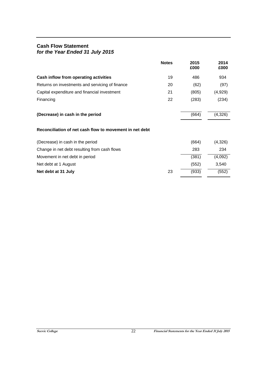## **Cash Flow Statement**  *for the Year Ended 31 July 2015*

|                                                         | <b>Notes</b> | 2015<br>£000 | 2014<br>£000 |
|---------------------------------------------------------|--------------|--------------|--------------|
| Cash inflow from operating activities                   | 19           | 486          | 934          |
| Returns on investments and servicing of finance         | 20           | (62)         | (97)         |
| Capital expenditure and financial investment            | 21           | (805)        | (4,929)      |
| Financing                                               | 22           | (283)        | (234)        |
| (Decrease) in cash in the period                        |              | (664)        | (4,326)      |
| Reconciliation of net cash flow to movement in net debt |              |              |              |
| (Decrease) in cash in the period                        |              | (664)        | (4,326)      |
| Change in net debt resulting from cash flows            |              | 283          | 234          |
| Movement in net debt in period                          |              | (381)        | (4,092)      |
| Net debt at 1 August                                    |              | (552)        | 3,540        |
| Net debt at 31 July                                     | 23           | (933)        | (552)        |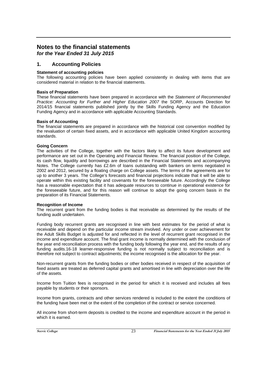## **Notes to the financial statements** *for the Year Ended 31 July 2015*

**1. Accounting Policies**

## **Statement of accounting policies**

The following accounting policies have been applied consistently in dealing with items that are considered material in relation to the financial statements.

## **Basis of Preparation**

These financial statements have been prepared in accordance with the *Statement of Recommended Practice: Accounting for Further and Higher Education 2007* the SORP, Accounts Direction for 2014/15 financial statements published jointly by the Skills Funding Agency and the Education Funding Agency and in accordance with applicable Accounting Standards.

#### **Basis of Accounting**

The financial statements are prepared in accordance with the historical cost convention modified by the revaluation of certain fixed assets, and in accordance with applicable United Kingdom accounting standards.

#### **Going Concern**

The activities of the College, together with the factors likely to affect its future development and performance are set out in the Operating and Financial Review. The financial position of the College, its cash flow, liquidity and borrowings are described in the Financial Statements and accompanying Notes. The College currently has £2.6m of loans outstanding with bankers on terms negotiated in 2002 and 2012, secured by a floating charge on College assets. The terms of the agreements are for up to another 3 years. The College's forecasts and financial projections indicate that it will be able to operate within this existing facility and covenants for the foreseeable future. Accordingly the College has a reasonable expectation that it has adequate resources to continue in operational existence for the foreseeable future, and for this reason will continue to adopt the going concern basis in the preparation of its Financial Statements.

#### **Recognition of Income**

The recurrent grant from the funding bodies is that receivable as determined by the results of the funding audit undertaken.

Funding body recurrent grants are recognised in line with best estimates for the period of what is receivable and depend on the particular income stream involved. Any under or over achievement for the Adult Skills Budget is adjusted for and reflected in the level of recurrent grant recognised in the income and expenditure account. The final grant income is normally determined with the conclusion of the year end reconciliation process with the funding body following the year end, and the results of any funding audits.16-18 learner-responsive funding is not normally subject to reconciliation and is therefore not subject to contract adjustments; the income recognised is the allocation for the year.

Non-recurrent grants from the funding bodies or other bodies received in respect of the acquisition of fixed assets are treated as deferred capital grants and amortised in line with depreciation over the life of the assets.

Income from Tuition fees is recognised in the period for which it is received and includes all fees payable by students or their sponsors.

Income from grants, contracts and other services rendered is included to the extent the conditions of the funding have been met or the extent of the completion of the contract or service concerned.

All income from short-term deposits is credited to the income and expenditure account in the period in which it is earned.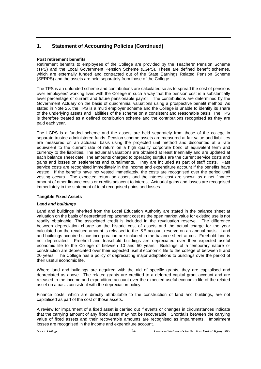## **1. Statement of Accounting Policies (Continued)**

## **Post retirement benefits**

Retirement benefits to employees of the College are provided by the Teachers' Pension Scheme (TPS) and the Local Government Pension Scheme (LGPS). These are defined benefit schemes, which are externally funded and contracted out of the State Earnings Related Pension Scheme (SERPS) and the assets are held separately from those of the College.

The TPS is an unfunded scheme and contributions are calculated so as to spread the cost of pensions over employees' working lives with the College in such a way that the pension cost is a substantially level percentage of current and future pensionable payroll. The contributions are determined by the Government Actuary on the basis of quadrennial valuations using a prospective benefit method. As stated in Note 25, the TPS is a multi employer scheme and the College is unable to identify its share of the underlying assets and liabilities of the scheme on a consistent and reasonable basis. The TPS is therefore treated as a defined contribution scheme and the contributions recognised as they are paid each year.

The LGPS is a funded scheme and the assets are held separately from those of the college in separate trustee administered funds. Pension scheme assets are measured at fair value and liabilities are measured on an actuarial basis using the projected unit method and discounted at a rate equivalent to the current rate of return on a high quality corporate bond of equivalent term and currency to the liabilities. The actuarial valuations are obtained at least triennially and are updated at each balance sheet date. The amounts charged to operating surplus are the current service costs and gains and losses on settlements and curtailments. They are included as part of staff costs. Past service costs are recognised immediately in the income and expenditure account if the benefits have vested. If the benefits have not vested immediately, the costs are recognised over the period until vesting occurs. The expected return on assets and the interest cost are shown as a net finance amount of other finance costs or credits adjacent to interest. Actuarial gains and losses are recognised immediately in the statement of total recognised gains and losses.

## **Tangible Fixed Assets**

## *Land and buildings*

Land and buildings inherited from the Local Education Authority are stated in the balance sheet at valuation on the basis of depreciated replacement cost as the open market value for existing use is not readily obtainable. The associated credit is included in the revaluation reserve. The difference between depreciation charge on the historic cost of assets and the actual charge for the year calculated on the revalued amount is released to the I&E account reserve on an annual basis. Land and buildings acquired since incorporation are included in the balance sheet at cost. Freehold land is not depreciated. Freehold and leasehold buildings are depreciated over their expected useful economic life to the College of between 10 and 50 years. Buildings of a temporary nature or construction are depreciated over their expected useful economic life to the college of between 5 and 20 years. The College has a policy of depreciating major adaptations to buildings over the period of their useful economic life.

Where land and buildings are acquired with the aid of specific grants, they are capitalised and depreciated as above. The related grants are credited to a deferred capital grant account and are released to the income and expenditure account over the expected useful economic life of the related asset on a basis consistent with the depreciation policy.

Finance costs, which are directly attributable to the construction of land and buildings, are not capitalised as part of the cost of those assets.

A review for impairment of a fixed asset is carried out if events or changes in circumstances indicate that the carrying amount of any fixed asset may not be recoverable. Shortfalls between the carrying value of fixed assets and their recoverable amounts are recognised as impairments. Impairment losses are recognised in the income and expenditure account.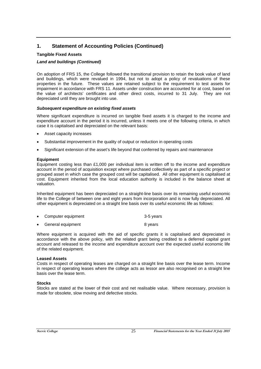## **1. Statement of Accounting Policies (Continued)**

## **Tangible Fixed Assets**

## *Land and buildings (Continued)*

On adoption of FRS 15, the College followed the transitional provision to retain the book value of land and buildings, which were revalued in 1994, but not to adopt a policy of revaluations of these properties in the future. These values are retained subject to the requirement to test assets for impairment in accordance with FRS 11. Assets under construction are accounted for at cost, based on the value of architects' certificates and other direct costs, incurred to 31 July. They are not depreciated until they are brought into use.

## *Subsequent expenditure on existing fixed assets*

Where significant expenditure is incurred on tangible fixed assets it is charged to the income and expenditure account in the period it is incurred, unless it meets one of the following criteria, in which case it is capitalised and depreciated on the relevant basis:

- Asset capacity increases
- Substantial improvement in the quality of output or reduction in operating costs
- Significant extension of the asset's life beyond that conferred by repairs and maintenance

## **Equipment**

Equipment costing less than  $£1,000$  per individual item is written off to the income and expenditure account in the period of acquisition except where purchased collectively as part of a specific project or grouped asset in which case the grouped cost will be capitalised. All other equipment is capitalised at cost. Equipment inherited from the local education authority is included in the balance sheet at valuation.

Inherited equipment has been depreciated on a straight-line basis over its remaining useful economic life to the College of between one and eight years from incorporation and is now fully depreciated. All other equipment is depreciated on a straight line basis over its useful economic life as follows:

| • Computer equipment | 3-5 years |
|----------------------|-----------|
|                      |           |

General equipment 8 years

Where equipment is acquired with the aid of specific grants it is capitalised and depreciated in accordance with the above policy, with the related grant being credited to a deferred capital grant account and released to the income and expenditure account over the expected useful economic life of the related equipment.

## **Leased Assets**

Costs in respect of operating leases are charged on a straight line basis over the lease term. Income in respect of operating leases where the college acts as lessor are also recognised on a straight line basis over the lease term.

## **Stocks**

Stocks are stated at the lower of their cost and net realisable value. Where necessary, provision is made for obsolete, slow moving and defective stocks.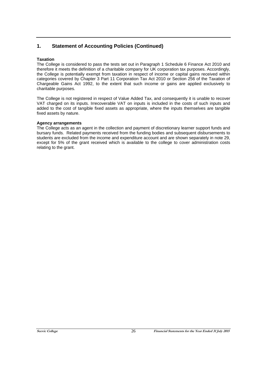## **1. Statement of Accounting Policies (Continued)**

## **Taxation**

The College is considered to pass the tests set out in Paragraph 1 Schedule 6 Finance Act 2010 and therefore it meets the definition of a charitable company for UK corporation tax purposes. Accordingly, the College is potentially exempt from taxation in respect of income or capital gains received within categories covered by Chapter 3 Part 11 Corporation Tax Act 2010 or Section 256 of the Taxation of Chargeable Gains Act 1992, to the extent that such income or gains are applied exclusively to charitable purposes.

The College is not registered in respect of Value Added Tax, and consequently it is unable to recover VAT charged on its inputs. Irrecoverable VAT on inputs is included in the costs of such inputs and added to the cost of tangible fixed assets as appropriate, where the inputs themselves are tangible fixed assets by nature.

## **Agency arrangements**

The College acts as an agent in the collection and payment of discretionary learner support funds and bursary funds. Related payments received from the funding bodies and subsequent disbursements to students are excluded from the income and expenditure account and are shown separately in note 29, except for 5% of the grant received which is available to the college to cover administration costs relating to the grant.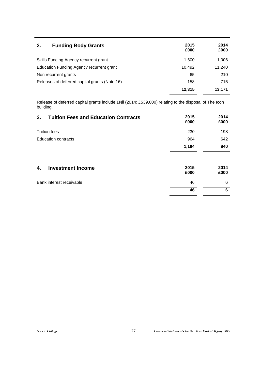| 2.<br><b>Funding Body Grants</b>              | 2015<br>£000 | 2014<br>£000 |
|-----------------------------------------------|--------------|--------------|
| Skills Funding Agency recurrent grant         | 1.600        | 1,006        |
| Education Funding Agency recurrent grant      | 10.492       | 11,240       |
| Non recurrent grants                          | 65           | 210          |
| Releases of deferred capital grants (Note 16) | 158          | 715          |
|                                               | 12,315       | 13.171       |

Release of deferred capital grants include £Nil (2014: £539,000) relating to the disposal of The Icon building.

| 3.<br><b>Tuition Fees and Education Contracts</b> | 2015<br>£000 | 2014<br>£000 |
|---------------------------------------------------|--------------|--------------|
| <b>Tuition fees</b>                               | 230          | 198          |
| <b>Education contracts</b>                        | 964          | 642          |
|                                                   | 1,194        | 840          |
| <b>Investment Income</b><br>4.                    | 2015<br>£000 | 2014<br>£000 |
| Bank interest receivable                          | 46           | 6            |
|                                                   | 46           | 6            |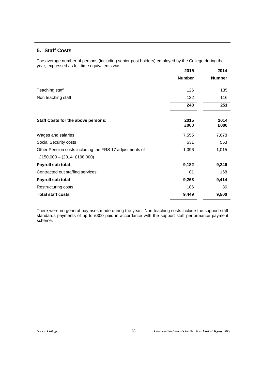## **5. Staff Costs**

The average number of persons (including senior post holders) employed by the College during the year, expressed as full-time equivalents was:

|                                                         | 2015          | 2014          |
|---------------------------------------------------------|---------------|---------------|
|                                                         | <b>Number</b> | <b>Number</b> |
| Teaching staff                                          | 126           | 135           |
| Non teaching staff                                      | 122           | 116           |
|                                                         | 248           | 251           |
| Staff Costs for the above persons:                      | 2015<br>£000  | 2014<br>£000  |
| Wages and salaries                                      | 7,555         | 7,678         |
| Social Security costs                                   | 531           | 553           |
| Other Pension costs including the FRS 17 adjustments of | 1,096         | 1,015         |
| £150,000 - $(2014: \text{\textsterling}108,000)$        |               |               |
| Payroll sub total                                       | 9,182         | 9,246         |
| Contracted out staffing services                        | 81            | 168           |
| Payroll sub total                                       | 9,263         | 9,414         |
| Restructuring costs                                     | 186           | 86            |
| <b>Total staff costs</b>                                | 9,449         | 9,500         |

There were no general pay rises made during the year. Non teaching costs include the support staff standards payments of up to £300 paid in accordance with the support staff performance payment scheme.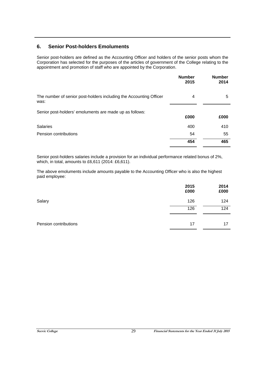## **6. Senior Post-holders Emoluments**

Senior post-holders are defined as the Accounting Officer and holders of the senior posts whom the Corporation has selected for the purposes of the articles of government of the College relating to the appointment and promotion of staff who are appointed by the Corporation.

|                                                                            | <b>Number</b><br>2015 | <b>Number</b><br>2014 |
|----------------------------------------------------------------------------|-----------------------|-----------------------|
| The number of senior post-holders including the Accounting Officer<br>was: | 4                     | 5                     |
| Senior post-holders' emoluments are made up as follows:                    | £000                  | £000                  |
| <b>Salaries</b>                                                            | 400                   | 410                   |
| Pension contributions                                                      | 54                    | 55                    |
|                                                                            | 454                   | 465                   |

Senior post-holders salaries include a provision for an individual performance related bonus of 2%, which, in total, amounts to £6,611 (2014: £6,611).

The above emoluments include amounts payable to the Accounting Officer who is also the highest paid employee:

|                       | 2015<br>£000 | 2014<br>£000 |
|-----------------------|--------------|--------------|
| Salary                | 126          | 124          |
|                       | 126          | 124          |
| Pension contributions | 17           | 17           |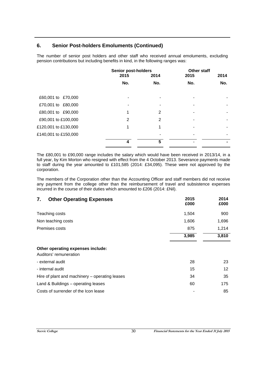## **6. Senior Post-holders Emoluments (Continued)**

The number of senior post holders and other staff who received annual emoluments, excluding pension contributions but including benefits in kind, in the following ranges was:

|                      | <b>Senior post-holders</b> |      | <b>Other staff</b> |      |
|----------------------|----------------------------|------|--------------------|------|
|                      | 2015                       | 2014 | 2015               | 2014 |
|                      | No.                        | No.  | No.                | No.  |
| £60,001 to £70,000   |                            |      |                    |      |
| £70,001 to £80,000   |                            |      |                    |      |
| £80,001 to £90,000   | 1                          | 2    |                    |      |
| £90,001 to £100,000  | 2                          | 2    |                    |      |
| £120,001 to £130,000 | 1                          | 1    |                    |      |
| £140,001 to £150,000 |                            |      |                    |      |
|                      | 4                          | 5    |                    |      |

The £80,001 to £90,000 range includes the salary which would have been received in 2013/14, in a full year, by Kim Morton who resigned with effect from the 4 October 2013. Severance payments made to staff during the year amounted to £101,585 (2014: £34,095). These were not approved by the corporation.

The members of the Corporation other than the Accounting Officer and staff members did not receive any payment from the college other than the reimbursement of travel and subsistence expenses incurred in the course of their duties which amounted to £206 (2014: £Nil).

| 7.<br><b>Other Operating Expenses</b>                       | 2015<br>£000 | 2014<br>£000      |
|-------------------------------------------------------------|--------------|-------------------|
| Teaching costs                                              | 1,504        | 900               |
| Non teaching costs                                          | 1,606        | 1,696             |
| Premises costs                                              | 875          | 1,214             |
|                                                             | 3,985        | 3,810             |
| Other operating expenses include:<br>Auditors' remuneration |              |                   |
| - external audit                                            | 28           | 23                |
| - internal audit                                            | 15           | $12 \overline{ }$ |
| Hire of plant and machinery - operating leases              | 34           | 35                |
| Land & Buildings – operating leases                         | 60           | 175               |
| Costs of surrender of the Icon lease                        |              | 85                |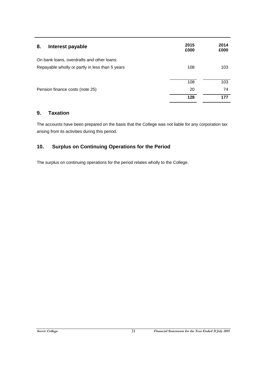| 8.<br>Interest payable                          | 2015<br>£000 | 2014<br>£000 |
|-------------------------------------------------|--------------|--------------|
| On bank loans, overdrafts and other loans:      |              |              |
| Repayable wholly or partly in less than 5 years | 108          | 103          |
|                                                 | 108          | 103          |
| Pension finance costs (note 25)                 | 20           | 74           |
|                                                 | 128          | 177          |

## **9. Taxation**

The accounts have been prepared on the basis that the College was not liable for any corporation tax arising from its activities during this period.

## **10. Surplus on Continuing Operations for the Period**

The surplus on continuing operations for the period relates wholly to the College.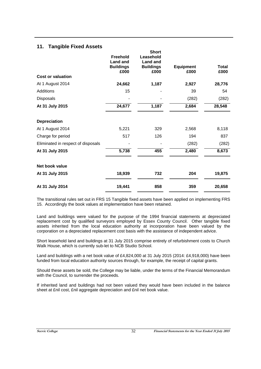## **11. Tangible Fixed Assets**

|                                    | <b>Freehold</b><br><b>Land and</b><br><b>Buildings</b><br>£000 | <b>Short</b><br>Leasehold<br><b>Land and</b><br><b>Buildings</b><br>£000 | <b>Equipment</b><br>£000 | <b>Total</b><br>£000 |
|------------------------------------|----------------------------------------------------------------|--------------------------------------------------------------------------|--------------------------|----------------------|
| <b>Cost or valuation</b>           |                                                                |                                                                          |                          |                      |
| At 1 August 2014                   | 24,662                                                         | 1,187                                                                    | 2,927                    | 28,776               |
| Additions                          | 15                                                             |                                                                          | 39                       | 54                   |
| Disposals                          |                                                                |                                                                          | (282)                    | (282)                |
| At 31 July 2015                    | 24,677                                                         | 1,187                                                                    | 2,684                    | 28,548               |
| <b>Depreciation</b>                |                                                                |                                                                          |                          |                      |
| At 1 August 2014                   | 5,221                                                          | 329                                                                      | 2,568                    | 8,118                |
| Charge for period                  | 517                                                            | 126                                                                      | 194                      | 837                  |
| Eliminated in respect of disposals |                                                                |                                                                          | (282)                    | (282)                |
| At 31 July 2015                    | 5,738                                                          | 455                                                                      | 2,480                    | 8,673                |
| Net book value                     |                                                                |                                                                          |                          |                      |
| At 31 July 2015                    | 18,939                                                         | 732                                                                      | 204                      | 19,875               |
| At 31 July 2014                    | 19,441                                                         | 858                                                                      | 359                      | 20,658               |

The transitional rules set out in FRS 15 Tangible fixed assets have been applied on implementing FRS 15. Accordingly the book values at implementation have been retained.

Land and buildings were valued for the purpose of the 1994 financial statements at depreciated replacement cost by qualified surveyors employed by Essex County Council. Other tangible fixed assets inherited from the local education authority at incorporation have been valued by the corporation on a depreciated replacement cost basis with the assistance of independent advice.

Short leasehold land and buildings at 31 July 2015 comprise entirely of refurbishment costs to Church Walk House, which is currently sub-let to NCB Studio School.

Land and buildings with a net book value of £4,824,000 at 31 July 2015 (2014: £4,918,000) have been funded from local education authority sources through, for example, the receipt of capital grants.

Should these assets be sold, the College may be liable, under the terms of the Financial Memorandum with the Council, to surrender the proceeds.

If inherited land and buildings had not been valued they would have been included in the balance sheet at £nil cost, £nil aggregate depreciation and £nil net book value.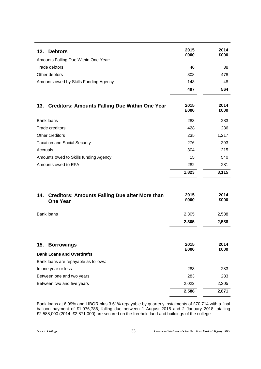| <b>Debtors</b><br>12.                                        | 2015<br>£000 | 2014<br>£000 |
|--------------------------------------------------------------|--------------|--------------|
| Amounts Falling Due Within One Year:                         |              |              |
| Trade debtors                                                | 46           | 38           |
| Other debtors                                                | 308          | 478          |
| Amounts owed by Skills Funding Agency                        | 143          | 48           |
|                                                              | 497          | 564          |
|                                                              |              |              |
| <b>Creditors: Amounts Falling Due Within One Year</b><br>13. | 2015<br>£000 | 2014<br>£000 |
| Bank loans                                                   | 283          | 283          |
| Trade creditors                                              | 428          | 286          |
| Other creditors                                              | 235          | 1,217        |
| <b>Taxation and Social Security</b>                          | 276          | 293          |
| Accruals                                                     | 304          | 215          |
| Amounts owed to Skills funding Agency                        | 15           | 540          |
| Amounts owed to EFA                                          | 282          | 281          |
|                                                              | 1,823        | 3,115        |
|                                                              |              |              |

| 14. Creditors: Amounts Falling Due after More than<br><b>One Year</b> | 2015<br>£000 | 2014<br>£000 |
|-----------------------------------------------------------------------|--------------|--------------|
| <b>Bank loans</b>                                                     | 2,305        | 2,588        |
|                                                                       | 2,305        | 2,588        |
| 15.<br><b>Borrowings</b><br><b>Bank Loans and Overdrafts</b>          | 2015<br>£000 | 2014<br>£000 |
| Bank loans are repayable as follows:                                  |              |              |
| In one year or less                                                   | 283          | 283          |
| Between one and two years                                             | 283          | 283          |
| Between two and five years                                            | 2,022        | 2,305        |
|                                                                       | 2,588        | 2,871        |

Bank loans at 6.99% and LIBOR plus 3.61% repayable by quarterly instalments of £70,714 with a final balloon payment of £1,976,786, falling due between 1 August 2015 and 2 January 2018 totalling £2,588,000 (2014: £2,871,000) are secured on the freehold land and buildings of the college.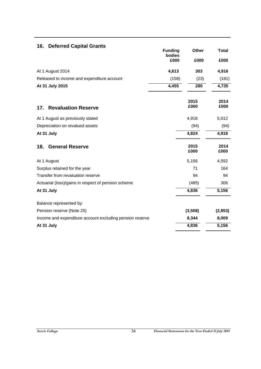| <b>Deferred Capital Grants</b><br>16.                    | <b>Funding</b> | Other        | <b>Total</b> |
|----------------------------------------------------------|----------------|--------------|--------------|
|                                                          | bodies<br>£000 | £000         | £000         |
| At 1 August 2014                                         | 4,613          | 303          | 4,916        |
| Released to income and expenditure account               | (158)          | (23)         | (181)        |
| At 31 July 2015                                          | 4,455          | 280          | 4,735        |
| <b>Revaluation Reserve</b><br>17.                        |                | 2015<br>£000 | 2014<br>£000 |
| At 1 August as previously stated                         |                | 4,918        | 5,012        |
| Depreciation on revalued assets                          |                | (94)         | (94)         |
| At 31 July                                               |                | 4,824        | 4,918        |
| <b>General Reserve</b><br>18.                            |                | 2015<br>£000 | 2014<br>£000 |
| At 1 August                                              |                | 5,156        | 4,592        |
| Surplus retained for the year                            |                | 71           | 164          |
| Transfer from revaluation reserve                        |                | 94           | 94           |
| Actuarial (loss)/gains in respect of pension scheme      |                | (485)        | 306          |
| At 31 July                                               |                | 4,836        | 5,156        |
| Balance represented by:                                  |                |              |              |
| Pension reserve (Note 25)                                |                | (3,508)      | (2, 853)     |
| Income and expenditure account excluding pension reserve |                | 8,344        | 8,009        |
| At 31 July                                               |                | 4,836        | 5,156        |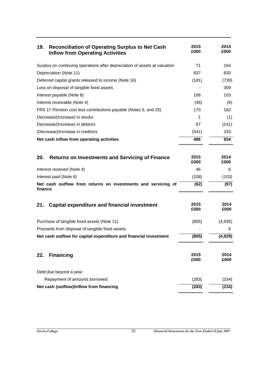| 19.<br><b>Reconciliation of Operating Surplus to Net Cash</b><br><b>Inflow from Operating Activities</b> | 2015<br>£000 | 2014<br>£000 |
|----------------------------------------------------------------------------------------------------------|--------------|--------------|
| Surplus on continuing operations after depreciation of assets at valuation                               | 71           | 164          |
| Depreciation (Note 11)                                                                                   | 837          | 830          |
| Deferred capital grants released to income (Note 16)                                                     | (181)        | (739)        |
| Loss on disposal of tangible fixed assets                                                                |              | 309          |
| Interest payable (Note 8)                                                                                | 108          | 103          |
| Interest receivable (Note 4)                                                                             | (46)         | (6)          |
| FRS 17 Pension cost less contributions payable (Notes 5, and 25)                                         | 170          | 182          |
| Decrease/(Increase) in stocks                                                                            | 1            | (1)          |
| Decrease/(Increase) in debtors                                                                           | 67           | (241)        |
| (Decrease)/Increase in creditors                                                                         | (541)        | 333          |
| Net cash inflow from operating activities                                                                | 486          | 934          |
|                                                                                                          |              |              |
| 20.<br><b>Returns on Investments and Servicing of Finance</b>                                            | 2015<br>£000 | 2014<br>£000 |
| Interest received (Note 4)                                                                               | 46           | 6            |
| Interest paid (Note 8)                                                                                   | (108)        | (103)        |
| Net cash outflow from returns on investments and servicing of<br>finance                                 | (62)         | (97)         |
| Capital expenditure and financial investment<br>21.                                                      | 2015<br>£000 | 2014<br>£000 |
| Purchase of tangible fixed assets (Note 11)                                                              | (805)        | (4,935)      |
| Proceeds from disposal of tangible fixed assets                                                          |              | 6            |
| Net cash outflow for capital expenditure and financial investment                                        | (805)        | (4,929)      |
| <b>Financing</b><br>22.                                                                                  | 2015<br>£000 | 2014<br>£000 |
| Debt due beyond a year:                                                                                  |              |              |
| Repayment of amounts borrowed                                                                            | (283)        | (234)        |
| Net cash (outflow)/inflow from financing                                                                 | (283)        | (234)        |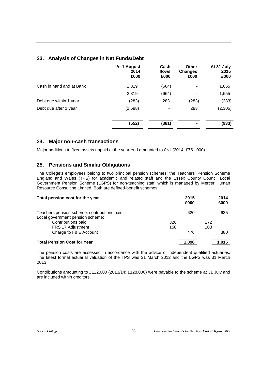## **23. Analysis of Changes in Net Funds/Debt**

|                          | At 1 August<br>2014<br>£000 | Cash<br>flows<br>£000 | <b>Other</b><br><b>Changes</b><br>£000 | At 31 July<br>2015<br>£000 |
|--------------------------|-----------------------------|-----------------------|----------------------------------------|----------------------------|
| Cash in hand and at Bank | 2,319                       | (664)                 |                                        | 1,655                      |
|                          | 2,319                       | (664)                 | -                                      | 1,655                      |
| Debt due within 1 year   | (283)                       | 283                   | (283)                                  | (283)                      |
| Debt due after 1 year    | (2,588)                     | $\blacksquare$        | 283                                    | (2,305)                    |
|                          | (552)                       | (381)                 |                                        | (933)                      |

## **24. Major non-cash transactions**

Major additions to fixed assets unpaid at the year-end amounted to £Nil (2014: £751,000).

## **25. Pensions and Similar Obligations**

The College's employees belong to two principal pension schemes: the Teachers' Pension Scheme England and Wales (TPS) for academic and related staff and the Essex County Council Local Government Pension Scheme (LGPS) for non-teaching staff, which is managed by Mercer Human Resource Consulting Limited. Both are defined-benefit schemes.

| Total pension cost for the year             |     | 2015<br>£000 |     | 2014<br>£000 |
|---------------------------------------------|-----|--------------|-----|--------------|
| Teachers pension scheme: contributions paid |     | 620          |     | 635          |
| Local government pension scheme:            |     |              |     |              |
| Contributions paid                          | 326 |              | 272 |              |
| FRS 17 Adjustment                           | 150 |              | 108 |              |
| Charge to I & E Account                     |     | 476          |     | 380          |
| <b>Total Pension Cost for Year</b>          |     | 1.096        |     | 1.015        |

The pension costs are assessed in accordance with the advice of independent qualified actuaries. The latest formal actuarial valuation of the TPS was 31 March 2012 and the LGPS was 31 March 2013.

Contributions amounting to £122,000 (2013/14: £128,000) were payable to the scheme at 31 July and are included within creditors.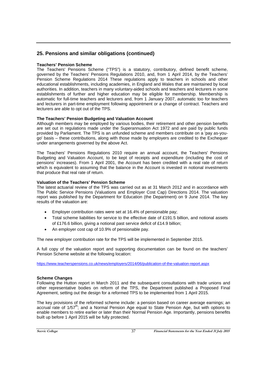## **Teachers' Pension Scheme**

The Teachers' Pensions Scheme ("TPS") is a statutory, contributory, defined benefit scheme, governed by the Teachers' Pensions Regulations 2010, and, from 1 April 2014, by the Teachers' Pension Scheme Regulations 2014 These regulations apply to teachers in schools and other educational establishments, including academies, in England and Wales that are maintained by local authorities. In addition, teachers in many voluntary-aided schools and teachers and lecturers in some establishments of further and higher education may be eligible for membership. Membership is automatic for full-time teachers and lecturers and, from 1 January 2007, automatic too for teachers and lecturers in part-time employment following appointment or a change of contract. Teachers and lecturers are able to opt out of the TPS.

## **The Teachers' Pension Budgeting and Valuation Account**

Although members may be employed by various bodies, their retirement and other pension benefits are set out in regulations made under the Superannuation Act 1972 and are paid by public funds provided by Parliament. The TPS is an unfunded scheme and members contribute on a 'pay as-yougo' basis – these contributions, along with those made by employers are credited to the Exchequer under arrangements governed by the above Act.

The Teachers' Pensions Regulations 2010 require an annual account, the Teachers' Pensions Budgeting and Valuation Account, to be kept of receipts and expenditure (including the cost of pensions' increases). From 1 April 2001, the Account has been credited with a real rate of return which is equivalent to assuming that the balance in the Account is invested in notional investments that produce that real rate of return.

## **Valuation of the Teachers' Pension Scheme**

The latest actuarial review of the TPS was carried out as at 31 March 2012 and in accordance with The Public Service Pensions (Valuations and Employer Cost Cap) Directions 2014. The valuation report was published by the Department for Education (the Department) on 9 June 2014. The key results of the valuation are:

- Employer contribution rates were set at 16.4% of pensionable pay;
- Total scheme liabilities for service to the effective date of £191.5 billion, and notional assets of £176.6 billion, giving a notional past service deficit of £14.9 billion;
- An employer cost cap of 10.9% of pensionable pay.

The new employer contribution rate for the TPS will be implemented in September 2015.

A full copy of the valuation report and supporting documentation can be found on the teachers' Pension Scheme website at the following location:

https://www.teacherspensions.co.uk/news/employers/2014/06/publication-of-the-valuation-report.aspx

## **Scheme Changes**

Following the Hutton report in March 2011 and the subsequent consultations with trade unions and other representative bodies on reform of the TPS, the Department published a Proposed Final Agreement, setting out the design for a reformed TPS to be implemented from 1 April 2015.

The key provisions of the reformed scheme include: a pension based on career average earnings; an accrual rate of  $1/57<sup>th</sup>$ ; and a Normal Pension Age equal to State Pension Age, but with options to enable members to retire earlier or later than their Normal Pension Age. Importantly, pensions benefits built up before 1 April 2015 will be fully protected.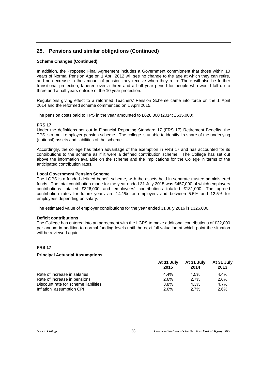## **Scheme Changes (Continued)**

In addition, the Proposed Final Agreement includes a Government commitment that those within 10 years of Normal Pension Age on 1 April 2012 will see no change to the age at which they can retire, and no decrease in the amount of pension they receive when they retire There will also be further transitional protection, tapered over a three and a half year period for people who would fall up to three and a half years outside of the 10 year protection.

Regulations giving effect to a reformed Teachers' Pension Scheme came into force on the 1 April 2014 and the reformed scheme commenced on 1 April 2015.

The pension costs paid to TPS in the year amounted to £620,000 (2014: £635,000).

## **FRS 17**

Under the definitions set out in Financial Reporting Standard 17 (FRS 17) Retirement Benefits, the TPS is a multi-employer pension scheme. The college is unable to identify its share of the underlying (notional) assets and liabilities of the scheme.

Accordingly, the college has taken advantage of the exemption in FRS 17 and has accounted for its contributions to the scheme as if it were a defined contribution scheme. The College has set out above the information available on the scheme and the implications for the College in terms of the anticipated contribution rates.

#### **Local Government Pension Scheme**

The LGPS is a funded defined benefit scheme, with the assets held in separate trustee administered funds. The total contribution made for the year ended 31 July 2015 was £457,000 of which employers contributions totalled £326,000 and employees' contributions totalled £131,000. The agreed contribution rates for future years are 14.1% for employers and between 5.5% and 12.5% for employees depending on salary.

The estimated value of employer contributions for the year ended 31 July 2016 is £326,000.

## **Deficit contributions**

The College has entered into an agreement with the LGPS to make additional contributions of £32,000 per annum in addition to normal funding levels until the next full valuation at which point the situation will be reviewed again.

## **FRS 17**

## **Principal Actuarial Assumptions**

|                                      | At 31 July<br>2015 | At 31 July<br>2014 | At 31 July<br>2013 |
|--------------------------------------|--------------------|--------------------|--------------------|
| Rate of increase in salaries         | $4.4\%$            | 4.5%               | $4.4\%$            |
| Rate of increase in pensions         | 2.6%               | 2.7%               | 2.6%               |
| Discount rate for scheme liabilities | 3.8%               | 4.3%               | $4.7\%$            |
| Inflation assumption CPI             | 2.6%               | 2.7%               | 2.6%               |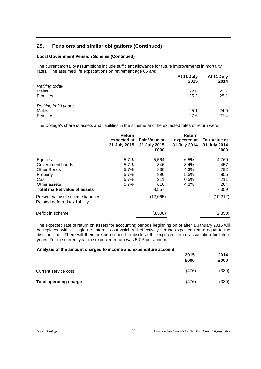## **Local Government Pension Scheme (Continued)**

The current mortality assumptions include sufficient allowance for future improvements in mortality rates. The assumed life expectations on retirement age 65 are:

|                       | At 31 July<br>2015 | At 31 July<br>2014 |
|-----------------------|--------------------|--------------------|
| <b>Retiring today</b> |                    |                    |
| Males                 | 22.8               | 22.7               |
| Females               | 25.2               | 25.1               |
| Retiring in 20 years  |                    |                    |
| Males                 | 25.1               | 24.9               |
| Females               | 27.6               | 27.4               |

The College's share of assets and liabilities in the scheme and the expected rates of return were:

|                                     | Return<br>expected at<br>31 July 2015 | <b>Fair Value at</b><br>31 July 2015<br>£000 | Return<br>expected at<br>31 July 2014 | <b>Fair Value at</b><br>31 July 2014<br>£000 |
|-------------------------------------|---------------------------------------|----------------------------------------------|---------------------------------------|----------------------------------------------|
| Equities                            | $5.7\%$                               | 5,564                                        | 6.5%                                  | 4,760                                        |
| Government bonds                    | 5.7%                                  | 346                                          | 3.4%                                  | 457                                          |
| Other Bonds                         | 5.7%                                  | 830                                          | 4.3%                                  | 792                                          |
| Property                            | 5.7%                                  | 990                                          | 5.5%                                  | 855                                          |
| Cash                                | 5.7%                                  | 211                                          | 0.5%                                  | 211                                          |
| Other assets                        | 5.7%                                  | 616                                          | 4.3%                                  | 284                                          |
| Total market value of assets        |                                       | 8,557                                        |                                       | 7,359                                        |
| Present value of scheme liabilities |                                       | (12,065)                                     |                                       | (10, 212)                                    |
| Related deferred tax liability      |                                       |                                              |                                       |                                              |
| Deficit in scheme                   |                                       | (3,508)                                      |                                       | (2, 853)                                     |

The expected rate of return on assets for accounting periods beginning on or after 1 January 2015 will be replaced with a single net interest cost which will effectively set the expected return equal to the discount rate. There will therefore be no need to disclose the expected return assumption for future years. For the current year the expected return was 5.7% per annum.

#### **Analysis of the amount charged to income and expenditure account**

|                               | 2015<br>£000 | 2014<br>£000 |
|-------------------------------|--------------|--------------|
| Current service cost          | (476)        | (380)        |
| <b>Total operating charge</b> | (476)        | (380)        |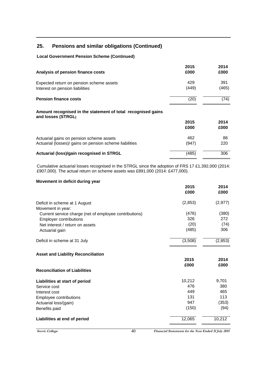## **Local Government Pension Scheme (Continued)**

| Analysis of pension finance costs                                                                   | 2015<br>£000 | 2014<br>£000 |
|-----------------------------------------------------------------------------------------------------|--------------|--------------|
| Expected return on pension scheme assets<br>Interest on pension liabilities                         | 429<br>(449) | 391<br>(465) |
| <b>Pension finance costs</b>                                                                        | (20)         | (74)         |
| Amount recognised in the statement of total recognised gains<br>and losses (STRGL)                  |              |              |
|                                                                                                     | 2015<br>£000 | 2014<br>£000 |
| Actuarial gains on pension scheme assets<br>Actuarial (losses)/ gains on pension scheme liabilities | 462<br>(947) | 86<br>220    |
| Actuarial (loss)/gain recognised in STRGL                                                           | (485)        | 306          |

Cumulative actuarial losses recognised in the STRGL since the adoption of FRS 17 £1,392,000 (2014: £907,000). The actual return on scheme assets was £891,000 (2014: £477,000).

## **Movement in deficit during year**

|                                                        | 2015<br>£000 | 2014<br>£000 |
|--------------------------------------------------------|--------------|--------------|
| Deficit in scheme at 1 August<br>Movement in year:     | (2,853)      | (2, 977)     |
| Current service charge (net of employee contributions) | (476)        | (380)        |
| <b>Employer contributions</b>                          | 326          | 272          |
| Net interest / return on assets                        | (20)         | (74)         |
| Actuarial gain                                         | (485)        | 306          |
| Deficit in scheme at 31 July                           | (3,508)      | (2,853)      |
| <b>Asset and Liability Reconciliation</b>              |              |              |
|                                                        | 2015         | 2014         |
|                                                        | £000         | £000         |
| <b>Reconciliation of Liabilities</b>                   |              |              |
| Liabilities at start of period                         | 10,212       | 9,701        |
| Service cost                                           | 476          | 380          |
| Interest cost                                          | 449          | 465          |
| Employee contributions                                 | 131          | 113          |
| Actuarial loss/(gain)                                  | 947          | (353)        |
| Benefits paid                                          | (150)        | (94)         |
| Liabilities at end of period                           | 12,065       | 10,212       |

**Seevic College Financial Statements for the Year Ended 31 July 2015** 40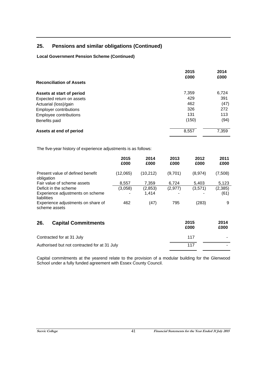## **Local Government Pension Scheme (Continued)**

|                                 | 2015<br>£000 | 2014<br>£000 |  |
|---------------------------------|--------------|--------------|--|
| <b>Reconciliation of Assets</b> |              |              |  |
| Assets at start of period       | 7,359        | 6,724        |  |
| Expected return on assets       | 429          | 391          |  |
| Actuarial (loss)/gain           | 462          | (47)         |  |
| <b>Employer contributions</b>   | 326          | 272          |  |
| Employee contributions          | 131          | 113          |  |
| Benefits paid                   | (150)        | (94)         |  |
| Assets at end of period         | 8,557        | 7,359        |  |

The five-year history of experience adjustments is as follows:

|                                                                          | 2015<br>£000 | 2014<br>£000      | 2013<br>£000 | 2012<br>£000 | 2011<br>£000    |
|--------------------------------------------------------------------------|--------------|-------------------|--------------|--------------|-----------------|
| Present value of defined benefit<br>obligation                           | (12,065)     | (10, 212)         | (9,701)      | (8,974)      | (7,508)         |
| Fair value of scheme assets                                              | 8,557        | 7,359             | 6,724        | 5,403        | 5,123           |
| Deficit in the scheme<br>Experience adjustments on scheme<br>liabilities | (3,058)      | (2, 853)<br>1,414 | (2, 977)     | (3,571)      | (2,385)<br>(61) |
| Experience adjustments on share of<br>scheme assets                      | 462          | (47)              | 795          | (283)        | 9               |
| <b>Capital Commitments</b><br>26.                                        |              |                   |              | 2015<br>£000 | 2014<br>£000    |
| Contracted for at 31 July                                                |              |                   |              | 117          |                 |
| Authorised but not contracted for at 31 July                             |              |                   |              | 117          |                 |

Capital commitments at the yearend relate to the provision of a modular building for the Glenwood School under a fully funded agreement with Essex County Council.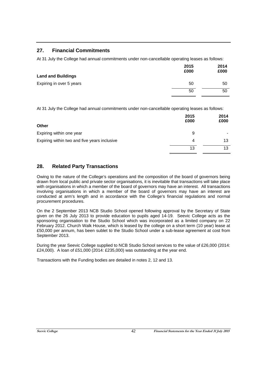## **27. Financial Commitments**

At 31 July the College had annual commitments under non-cancellable operating leases as follows:

|                           | 2015<br>£000 | 2014<br>£000 |
|---------------------------|--------------|--------------|
| <b>Land and Buildings</b> |              |              |
| Expiring in over 5 years  | 50           | 50           |
|                           | 50           | 50           |
|                           |              |              |

At 31 July the College had annual commitments under non-cancellable operating leases as follows:

|                                              | 2015<br>£000 | 2014<br>£000 |
|----------------------------------------------|--------------|--------------|
| Other                                        |              |              |
| Expiring within one year                     | 9            | -            |
| Expiring within two and five years inclusive | 4            | 13           |
|                                              | 13           | 13           |

## **28. Related Party Transactions**

Owing to the nature of the College's operations and the composition of the board of governors being drawn from local public and private sector organisations, it is inevitable that transactions will take place with organisations in which a member of the board of governors may have an interest. All transactions involving organisations in which a member of the board of governors may have an interest are conducted at arm's length and in accordance with the College's financial regulations and normal procurement procedures.

On the 2 September 2013 NCB Studio School opened following approval by the Secretary of State given on the 26 July 2013 to provide education to pupils aged 14-19. Seevic College acts as the sponsoring organisation to the Studio School which was incorporated as a limited company on 22 February 2012. Church Walk House, which is leased by the college on a short term (10 year) lease at £50,000 per annum, has been sublet to the Studio School under a sub-lease agreement at cost from September 2013.

During the year Seevic College supplied to NCB Studio School services to the value of £26,000 (2014: £24,000). A loan of £51,000 (2014: £235,000) was outstanding at the year end.

Transactions with the Funding bodies are detailed in notes 2, 12 and 13.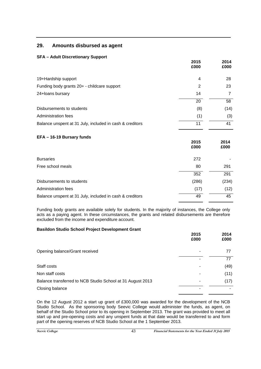## **29. Amounts disbursed as agent**

## **SFA – Adult Discretionary Support**

|                                                          | 2015<br>£000 | 2014<br>£000 |
|----------------------------------------------------------|--------------|--------------|
| 19+Hardship support                                      | 4            | 28           |
| Funding body grants 20+ - childcare support              | 2            | 23           |
| 24+loans bursary                                         | 14           |              |
|                                                          | 20           | 58           |
| Disbursements to students                                | (8)          | (14)         |
| Administration fees                                      | (1)          | (3)          |
| Balance unspent at 31 July, included in cash & creditors | 11           | 41           |

## **EFA – 16-19 Bursary funds 2015 £000 2014 £000** Bursaries 272 - Free school meals **80** 291 352 291 Disbursements to students (286) (234) Administration fees (17) (12) Balance unspent at 31 July, included in cash & creditors 49 45

Funding body grants are available solely for students. In the majority of instances, the College only acts as a paying agent. In these circumstances, the grants and related disbursements are therefore excluded from the income and expenditure account.

## **Basildon Studio School Project Development Grant**

|                                                            | 2015<br>£000 | 2014<br>£000 |
|------------------------------------------------------------|--------------|--------------|
| Opening balance/Grant received                             |              | 77           |
|                                                            |              | 77           |
| Staff costs                                                |              | (49)         |
| Non staff costs                                            |              | (11)         |
| Balance transferred to NCB Studio School at 31 August 2013 |              | (17)         |
| Closing balance                                            |              |              |

On the 12 August 2012 a start up grant of £300,000 was awarded for the development of the NCB Studio School. As the sponsoring body Seevic College would administer the funds, as agent, on behalf of the Studio School prior to its opening in September 2013. The grant was provided to meet all start up and pre-opening costs and any unspent funds at that date would be transferred to and form part of the opening reserves of NCB Studio School at the 1 September 2013.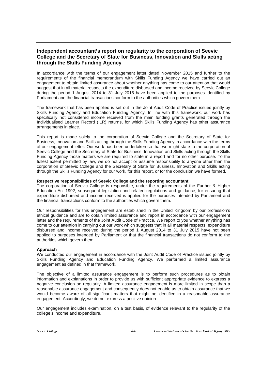## **Independent accountant's report on regularity to the corporation of Seevic College and the Secretary of State for Business, Innovation and Skills acting through the Skills Funding Agency**

In accordance with the terms of our engagement letter dated November 2015 and further to the requirements of the financial memorandum with Skills Funding Agency we have carried out an engagement to obtain limited assurance about whether anything has come to our attention that would suggest that in all material respects the expenditure disbursed and income received by Seevic College during the period 1 August 2014 to 31 July 2015 have been applied to the purposes identified by Parliament and the financial transactions conform to the authorities which govern them.

The framework that has been applied is set out in the Joint Audit Code of Practice issued jointly by Skills Funding Agency and Education Funding Agency. In line with this framework, our work has specifically not considered income received from the main funding grants generated through the Individualised Learner Record (ILR) returns, for which Skills Funding Agency has other assurance arrangements in place.

This report is made solely to the corporation of Seevic College and the Secretary of State for Business, Innovation and Skills acting through the Skills Funding Agency in accordance with the terms of our engagement letter. Our work has been undertaken so that we might state to the corporation of Seevic College and the Secretary of State for Business, Innovation and Skills acting through the Skills Funding Agency those matters we are required to state in a report and for no other purpose. To the fullest extent permitted by law, we do not accept or assume responsibility to anyone other than the corporation of Seevic College and the Secretary of State for Business, Innovation and Skills acting through the Skills Funding Agency for our work, for this report, or for the conclusion we have formed.

#### **Respective responsibilities of Seevic College and the reporting accountant**

The corporation of Seevic College is responsible, under the requirements of the Further & Higher Education Act 1992, subsequent legislation and related regulations and guidance, for ensuring that expenditure disbursed and income received is applied for the purposes intended by Parliament and the financial transactions conform to the authorities which govern them.

Our responsibilities for this engagement are established in the United Kingdom by our profession's ethical guidance and are to obtain limited assurance and report in accordance with our engagement letter and the requirements of the Joint Audit Code of Practice. We report to you whether anything has come to our attention in carrying out our work which suggests that in all material respects, expenditure disbursed and income received during the period 1 August 2014 to 31 July 2015 have not been applied to purposes intended by Parliament or that the financial transactions do not conform to the authorities which govern them.

## **Approach**

We conducted our engagement in accordance with the Joint Audit Code of Practice issued jointly by Skills Funding Agency and Education Funding Agency. We performed a limited assurance engagement as defined in that framework.

The objective of a limited assurance engagement is to perform such procedures as to obtain information and explanations in order to provide us with sufficient appropriate evidence to express a negative conclusion on regularity. A limited assurance engagement is more limited in scope than a reasonable assurance engagement and consequently does not enable us to obtain assurance that we would become aware of all significant matters that might be identified in a reasonable assurance engagement. Accordingly, we do not express a positive opinion.

Our engagement includes examination, on a test basis, of evidence relevant to the regularity of the college's income and expenditure.